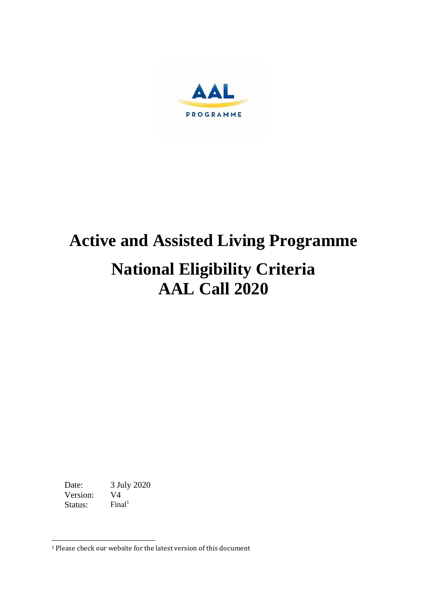

# **Active and Assisted Living Programme National Eligibility Criteria AAL Call 2020**

Date: 3 July 2020<br>Version: V4 Version: Status:  $Final<sup>1</sup>$ 

<sup>&</sup>lt;sup>1</sup> Please check our website for the latest version of this document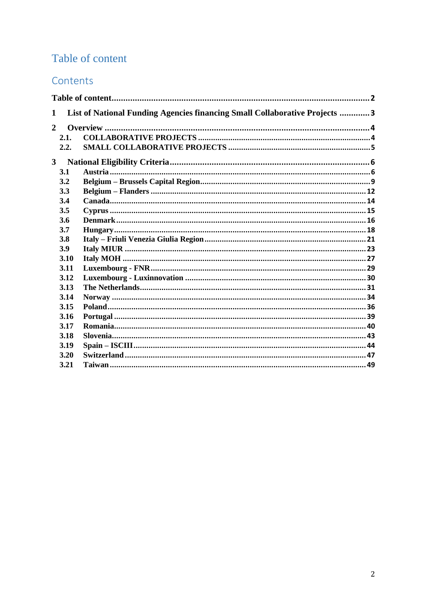### <span id="page-1-0"></span>Table of content

### Contents

| 1              | List of National Funding Agencies financing Small Collaborative Projects 3 |  |  |  |  |  |  |  |  |
|----------------|----------------------------------------------------------------------------|--|--|--|--|--|--|--|--|
| $\overline{2}$ |                                                                            |  |  |  |  |  |  |  |  |
|                | 2.1.                                                                       |  |  |  |  |  |  |  |  |
|                | 2.2.                                                                       |  |  |  |  |  |  |  |  |
| $3^{\circ}$    |                                                                            |  |  |  |  |  |  |  |  |
|                | 3.1                                                                        |  |  |  |  |  |  |  |  |
|                | 3.2                                                                        |  |  |  |  |  |  |  |  |
|                | 3.3                                                                        |  |  |  |  |  |  |  |  |
|                | 3.4                                                                        |  |  |  |  |  |  |  |  |
|                | 3.5                                                                        |  |  |  |  |  |  |  |  |
|                | 3.6                                                                        |  |  |  |  |  |  |  |  |
|                | 3.7                                                                        |  |  |  |  |  |  |  |  |
|                | 3.8                                                                        |  |  |  |  |  |  |  |  |
|                | 3.9                                                                        |  |  |  |  |  |  |  |  |
|                | 3.10                                                                       |  |  |  |  |  |  |  |  |
|                | 3.11                                                                       |  |  |  |  |  |  |  |  |
|                | 3.12                                                                       |  |  |  |  |  |  |  |  |
|                | 3.13                                                                       |  |  |  |  |  |  |  |  |
|                | 3.14                                                                       |  |  |  |  |  |  |  |  |
|                | 3.15                                                                       |  |  |  |  |  |  |  |  |
|                | 3.16                                                                       |  |  |  |  |  |  |  |  |
|                | 3.17                                                                       |  |  |  |  |  |  |  |  |
|                | 3.18                                                                       |  |  |  |  |  |  |  |  |
|                | 3.19                                                                       |  |  |  |  |  |  |  |  |
|                | 3.20                                                                       |  |  |  |  |  |  |  |  |
|                | 3.21                                                                       |  |  |  |  |  |  |  |  |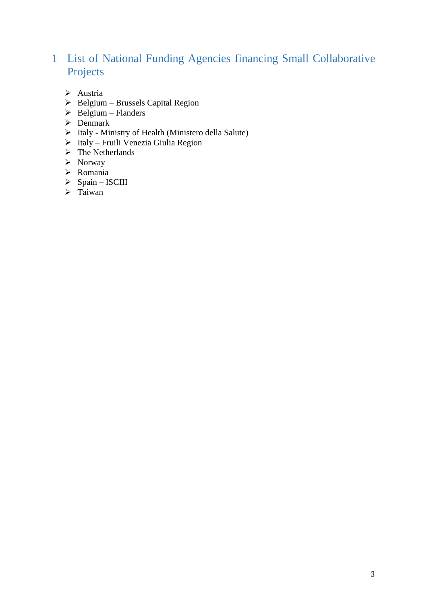# <span id="page-2-0"></span>1 List of National Funding Agencies financing Small Collaborative Projects

- ➢ Austria
- ➢ Belgium Brussels Capital Region
- $\triangleright$  Belgium Flanders
- $\triangleright$  Denmark
- ➢ Italy Ministry of Health (Ministero della Salute)
- ➢ Italy Fruili Venezia Giulia Region
- ➢ The Netherlands
- ➢ Norway
- ➢ Romania
- ➢ Spain ISCIII
- ➢ Taiwan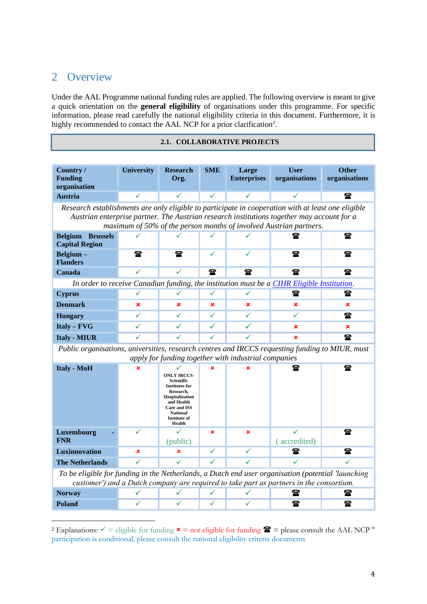### <span id="page-3-0"></span>2 Overview

Under the AAL Programme national funding rules are applied. The following overview is meant to give a quick orientation on the **general eligibility** of organisations under this programme. For specific information, please read carefully the national eligibility criteria in this document. Furthermore, it is highly recommended to contact the AAL NCP for a prior clarification<sup>2</sup>.

#### <span id="page-3-1"></span>**2.1. COLLABORATIVE PROJECTS**

| Country /<br><b>Funding</b><br>organisation                                                                                                                                                                                                                            | <b>University</b> | <b>Research</b><br>Org. | <b>SME</b>   | Large<br><b>Enterprises</b>  | <b>User</b><br>organisations                                                               | <b>Other</b><br>organisations |  |  |
|------------------------------------------------------------------------------------------------------------------------------------------------------------------------------------------------------------------------------------------------------------------------|-------------------|-------------------------|--------------|------------------------------|--------------------------------------------------------------------------------------------|-------------------------------|--|--|
| <b>Austria</b>                                                                                                                                                                                                                                                         | $\checkmark$      |                         | ✓            | $\checkmark$                 |                                                                                            | $\mathbf{r}$                  |  |  |
| Research establishments are only eligible to participate in cooperation with at least one eligible<br>Austrian enterprise partner. The Austrian research institutions together may account for a<br>maximum of 50% of the person months of involved Austrian partners. |                   |                         |              |                              |                                                                                            |                               |  |  |
| <b>Belgium</b><br><b>Brussels</b><br><b>Capital Region</b>                                                                                                                                                                                                             |                   |                         |              |                              | 讏                                                                                          | 金                             |  |  |
| Belgium-<br><b>Flanders</b>                                                                                                                                                                                                                                            | $\mathbf{r}$      | $\mathbf{r}$            | ✓            |                              | $\mathbf{r}$                                                                               |                               |  |  |
| Canada                                                                                                                                                                                                                                                                 | ✓                 |                         | $\mathbf{r}$ | $\mathbf{r}$<br>$\mathbf{r}$ |                                                                                            | $\mathbf{r}$                  |  |  |
|                                                                                                                                                                                                                                                                        |                   |                         |              |                              | In order to receive Canadian funding, the institution must be a CIHR Eligible Institution. |                               |  |  |
| <b>Cyprus</b>                                                                                                                                                                                                                                                          |                   |                         |              |                              | $\mathbf x$                                                                                | ☎                             |  |  |
| <b>Denmark</b>                                                                                                                                                                                                                                                         | ×                 | $\mathbf x$             | $\mathbf x$  | $\mathbf x$                  | ×                                                                                          | $\mathbf x$                   |  |  |
| <b>Hungary</b>                                                                                                                                                                                                                                                         |                   |                         | ✓            |                              |                                                                                            | ☎                             |  |  |
| $Italy - FVG$                                                                                                                                                                                                                                                          |                   |                         | ✓            |                              | $\mathbf x$                                                                                | $\mathbf x$                   |  |  |
| <b>Italy - MIUR</b><br>Dublic quaggiarizer universities usessual equipment of IDCCS requesting funding to MIIID word                                                                                                                                                   |                   |                         |              |                              | $\mathbf x$                                                                                | $\mathbf{r}$                  |  |  |

*Public organisations, universities, research centres and IRCCS requesting funding to MIUR, must apply for funding together with industrial companies*

| <b>Italy - MoH</b>                                                                                                                                                                             | $\mathbf x$ | <b>ONLY IRCCS-</b><br><b>Scientific</b><br><b>Institutes for</b><br>Research,<br>Hospitalization<br>and Health<br><b>Care and ISS</b><br><b>National</b><br><b>Institute of</b><br>Health | × | $\mathbf x$ | 金           |          |  |  |
|------------------------------------------------------------------------------------------------------------------------------------------------------------------------------------------------|-------------|-------------------------------------------------------------------------------------------------------------------------------------------------------------------------------------------|---|-------------|-------------|----------|--|--|
| Luxembourg<br><b>FNR</b>                                                                                                                                                                       |             | (public)                                                                                                                                                                                  | × | $\mathbf x$ | accredited) | 金        |  |  |
| Luxinnovation                                                                                                                                                                                  | $\mathbf x$ | ×                                                                                                                                                                                         |   |             | t           | $\bf{r}$ |  |  |
| <b>The Netherlands</b>                                                                                                                                                                         |             |                                                                                                                                                                                           |   |             |             |          |  |  |
| To be eligible for funding in the Netherlands, a Dutch end user organisation (potential 'launching'<br>customer') and a Dutch company are required to take part as partners in the consortium. |             |                                                                                                                                                                                           |   |             |             |          |  |  |
| <b>Norway</b>                                                                                                                                                                                  |             |                                                                                                                                                                                           |   |             |             |          |  |  |

**Poland** ✓ ✓ ✓ ✓

<sup>&</sup>lt;sup>2</sup> Explanations:  $\checkmark$  = eligible for funding  $\star$  = not eligible for funding  $\hat{=}$  = please consult the AAL NCP  $*$ participation is conditional, please consult the national eligibility criteria documents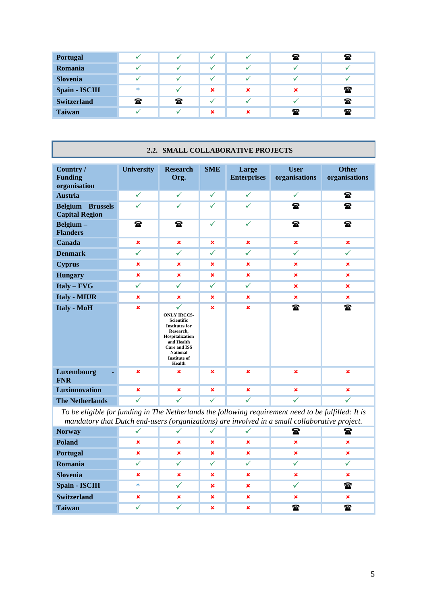| <b>Portugal</b>    |              |              |             |   | $\mathbf{r}$ | $\mathbf{r}$              |
|--------------------|--------------|--------------|-------------|---|--------------|---------------------------|
| Romania            |              |              |             |   |              |                           |
| <b>Slovenia</b>    |              |              |             |   |              |                           |
| Spain - ISCIII     | $\ast$       |              | $\mathbf x$ | × | ×            | 雷                         |
| <b>Switzerland</b> | $\mathbf{a}$ | $\mathbf{r}$ |             |   |              | $\mathbf{r}$              |
| <b>Taiwan</b>      |              |              | ×           | × | $\mathbf{r}$ | $\boldsymbol{\mathrm{r}}$ |

#### **2.2. SMALL COLLABORATIVE PROJECTS**

<span id="page-4-0"></span>

| Country /<br><b>Funding</b><br>organisation      | <b>University</b> | <b>Research</b><br>Org.                                                                                                                                                                                          | <b>SME</b>     | Large<br><b>Enterprises</b> | <b>User</b><br>organisations | <b>Other</b><br>organisations |
|--------------------------------------------------|-------------------|------------------------------------------------------------------------------------------------------------------------------------------------------------------------------------------------------------------|----------------|-----------------------------|------------------------------|-------------------------------|
| <b>Austria</b>                                   | $\checkmark$      | $\checkmark$                                                                                                                                                                                                     | ✓              | $\checkmark$                | $\checkmark$                 | ☎                             |
| <b>Belgium</b> Brussels<br><b>Capital Region</b> | $\checkmark$      | $\checkmark$                                                                                                                                                                                                     | $\checkmark$   | $\checkmark$                | $\mathbf{r}$                 | $\mathbf{r}$                  |
| Belgium-<br><b>Flanders</b>                      | $\mathbf{r}$      | $\mathbf{r}$                                                                                                                                                                                                     | ✓              | $\checkmark$                | t                            | 雷                             |
| Canada                                           | $\pmb{\times}$    | $\mathbf x$                                                                                                                                                                                                      | $\pmb{\times}$ | $\pmb{\times}$              | $\pmb{\times}$               | $\pmb{\times}$                |
| <b>Denmark</b>                                   | $\checkmark$      | $\checkmark$                                                                                                                                                                                                     | $\checkmark$   | $\checkmark$                | $\checkmark$                 | $\checkmark$                  |
| <b>Cyprus</b>                                    | $\mathbf x$       | $\pmb{\times}$                                                                                                                                                                                                   | $\pmb{\times}$ | $\pmb{\times}$              | $\pmb{\times}$               | $\pmb{\times}$                |
| <b>Hungary</b>                                   | $\mathbf x$       | $\mathbf x$                                                                                                                                                                                                      | $\pmb{\times}$ | $\pmb{\times}$              | $\mathbf x$                  | $\pmb{\times}$                |
| $Italy - FVG$                                    | $\checkmark$      | $\checkmark$                                                                                                                                                                                                     | $\checkmark$   | $\checkmark$                | $\mathbf x$                  | $\mathbf x$                   |
| <b>Italy - MIUR</b>                              | $\mathbf x$       | $\mathbf x$                                                                                                                                                                                                      | $\mathbf x$    | $\mathbf x$                 | $\mathbf x$                  | $\mathbf x$                   |
| <b>Italy - MoH</b>                               | $\mathbf x$       | $\checkmark$<br><b>ONLY IRCCS-</b><br><b>Scientific</b><br><b>Institutes for</b><br>Research,<br>Hospitalization<br>and Health<br><b>Care and ISS</b><br><b>National</b><br><b>Institute of</b><br><b>Health</b> | $\pmb{\times}$ | $\pmb{\times}$              | t                            | ☎                             |
| Luxembourg<br><b>FNR</b>                         | $\mathbf x$       | $\mathbf x$                                                                                                                                                                                                      | $\mathbf x$    | $\mathbf x$                 | $\pmb{\times}$               | $\mathbf x$                   |
| <b>Luxinnovation</b>                             | $\mathbf x$       | $\pmb{\times}$                                                                                                                                                                                                   | $\pmb{\times}$ | $\pmb{\times}$              | $\mathbf x$                  | $\mathbf x$                   |
| <b>The Netherlands</b>                           | $\checkmark$      | $\checkmark$                                                                                                                                                                                                     | ✓              | $\checkmark$                | ✓                            | $\checkmark$                  |

*To be eligible for funding in The Netherlands the following requirement need to be fulfilled: It is mandatory that Dutch end-users (organizations) are involved in a small collaborative project.*

| <b>Norway</b>      |             |             |             |             | $\mathbf{P}$ | t            |
|--------------------|-------------|-------------|-------------|-------------|--------------|--------------|
| <b>Poland</b>      | $\mathbf x$ | $\mathbf x$ | $\mathbf x$ | $\mathbf x$ | $\mathbf x$  |              |
| Portugal           | ×           | $\mathbf x$ | $\mathbf x$ | $\mathbf x$ | $\mathbf x$  | ×            |
| Romania            |             |             |             |             |              |              |
| <b>Slovenia</b>    | $\mathbf x$ | $\mathbf x$ | $\mathbf x$ | $\mathbf x$ | $\mathbf x$  | ×            |
| Spain - ISCIII     | $\ast$      |             | ×           | ×           |              | t            |
| <b>Switzerland</b> | x           | $\mathbf x$ | $\mathbf x$ | $\mathbf x$ | $\mathbf x$  | ×            |
| <b>Taiwan</b>      |             |             | $\mathbf x$ | ×           | $\mathbf{r}$ | $\mathbf{r}$ |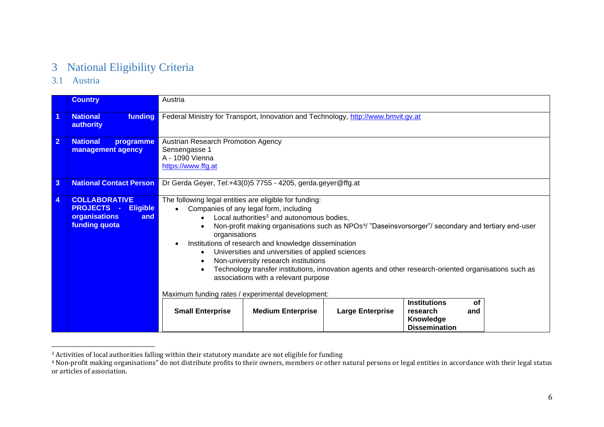# 3 National Eligibility Criteria

3.1 Austria

|                      | <b>Country</b>                                                                                                   | Austria                                                                                                                                                                                                                                                                                                                                                                                                                                                                                                                                                                                                                                                                                                                                                                                                                                           |  |  |  |  |  |  |
|----------------------|------------------------------------------------------------------------------------------------------------------|---------------------------------------------------------------------------------------------------------------------------------------------------------------------------------------------------------------------------------------------------------------------------------------------------------------------------------------------------------------------------------------------------------------------------------------------------------------------------------------------------------------------------------------------------------------------------------------------------------------------------------------------------------------------------------------------------------------------------------------------------------------------------------------------------------------------------------------------------|--|--|--|--|--|--|
| $\blacktriangleleft$ | funding<br><b>National</b><br>authority                                                                          | Federal Ministry for Transport, Innovation and Technology, http://www.bmvit.gv.at                                                                                                                                                                                                                                                                                                                                                                                                                                                                                                                                                                                                                                                                                                                                                                 |  |  |  |  |  |  |
| $\overline{2}$       | <b>National</b><br>programme<br>management agency                                                                | Austrian Research Promotion Agency<br>Sensengasse 1<br>A - 1090 Vienna<br>https://www.ffg.at                                                                                                                                                                                                                                                                                                                                                                                                                                                                                                                                                                                                                                                                                                                                                      |  |  |  |  |  |  |
| $\mathbf{3}$         | <b>National Contact Person</b>                                                                                   | Dr Gerda Geyer, Tel:+43(0)5 7755 - 4205, gerda.geyer@ffg.at                                                                                                                                                                                                                                                                                                                                                                                                                                                                                                                                                                                                                                                                                                                                                                                       |  |  |  |  |  |  |
| 4                    | <b>COLLABORATIVE</b><br><b>PROJECTS</b><br><b>Eligible</b><br>$\sim 10$<br>organisations<br>and<br>funding quota | The following legal entities are eligible for funding:<br>Companies of any legal form, including<br>Local authorities <sup>3</sup> and autonomous bodies,<br>Non-profit making organisations such as NPOs <sup>4</sup> / "Daseinsvorsorger"/ secondary and tertiary end-user<br>$\bullet$<br>organisations<br>Institutions of research and knowledge dissemination<br>Universities and universities of applied sciences<br>Non-university research institutions<br>٠<br>Technology transfer institutions, innovation agents and other research-oriented organisations such as<br>associations with a relevant purpose<br>Maximum funding rates / experimental development:<br><b>Institutions</b><br>οf<br><b>Medium Enterprise</b><br><b>Large Enterprise</b><br><b>Small Enterprise</b><br>research<br>and<br>Knowledge<br><b>Dissemination</b> |  |  |  |  |  |  |

<span id="page-5-1"></span><span id="page-5-0"></span> $3$  Activities of local authorities falling within their statutory mandate are not eligible for funding

<sup>4</sup> Non-profit making organisations" do not distribute profits to their owners, members or other natural persons or legal entities in accordance with their legal status or articles of association.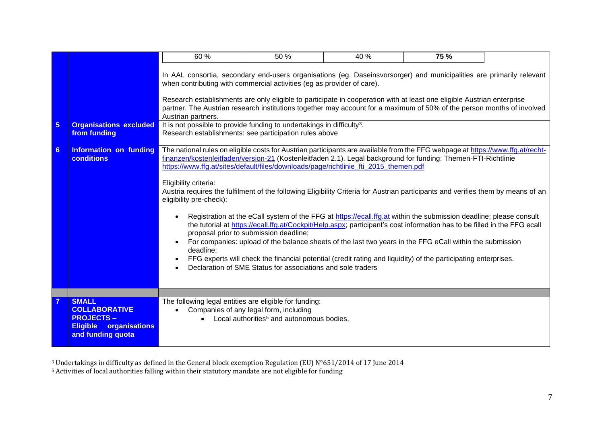|                 |                                                                                                   | 60%                                                                                                                                                                                                                                                                                                                                                                                                                                                                                                                                                                                                                                                                                                                                                                                                                                                                                                                                                                                                                                                                                                                                    | 50 %                                                                                            | 40 % | 75 % |  |  |  |  |
|-----------------|---------------------------------------------------------------------------------------------------|----------------------------------------------------------------------------------------------------------------------------------------------------------------------------------------------------------------------------------------------------------------------------------------------------------------------------------------------------------------------------------------------------------------------------------------------------------------------------------------------------------------------------------------------------------------------------------------------------------------------------------------------------------------------------------------------------------------------------------------------------------------------------------------------------------------------------------------------------------------------------------------------------------------------------------------------------------------------------------------------------------------------------------------------------------------------------------------------------------------------------------------|-------------------------------------------------------------------------------------------------|------|------|--|--|--|--|
| $5\phantom{.0}$ | <b>Organisations excluded</b>                                                                     | In AAL consortia, secondary end-users organisations (eg. Daseinsvorsorger) and municipalities are primarily relevant<br>when contributing with commercial activities (eg as provider of care).<br>Research establishments are only eligible to participate in cooperation with at least one eligible Austrian enterprise<br>partner. The Austrian research institutions together may account for a maximum of 50% of the person months of involved<br>Austrian partners.<br>It is not possible to provide funding to undertakings in difficulty <sup>3</sup> .                                                                                                                                                                                                                                                                                                                                                                                                                                                                                                                                                                         |                                                                                                 |      |      |  |  |  |  |
|                 | from funding                                                                                      | Research establishments: see participation rules above                                                                                                                                                                                                                                                                                                                                                                                                                                                                                                                                                                                                                                                                                                                                                                                                                                                                                                                                                                                                                                                                                 |                                                                                                 |      |      |  |  |  |  |
| $6 \,$          | Information on funding<br><b>conditions</b>                                                       | The national rules on eligible costs for Austrian participants are available from the FFG webpage at https://www.ffg.at/recht-<br>finanzen/kostenleitfaden/version-21 (Kostenleitfaden 2.1). Legal background for funding: Themen-FTI-Richtlinie<br>https://www.ffg.at/sites/default/files/downloads/page/richtlinie fti 2015 themen.pdf<br>Eligibility criteria:<br>Austria requires the fulfilment of the following Eligibility Criteria for Austrian participants and verifies them by means of an<br>eligibility pre-check):<br>Registration at the eCall system of the FFG at https://ecall.ffg.at within the submission deadline; please consult<br>the tutorial at https://ecall.ffg.at/Cockpit/Help.aspx; participant's cost information has to be filled in the FFG ecall<br>proposal prior to submission deadline;<br>For companies: upload of the balance sheets of the last two years in the FFG eCall within the submission<br>deadline:<br>FFG experts will check the financial potential (credit rating and liquidity) of the participating enterprises.<br>Declaration of SME Status for associations and sole traders |                                                                                                 |      |      |  |  |  |  |
|                 | <b>SMALL</b>                                                                                      | The following legal entities are eligible for funding:                                                                                                                                                                                                                                                                                                                                                                                                                                                                                                                                                                                                                                                                                                                                                                                                                                                                                                                                                                                                                                                                                 |                                                                                                 |      |      |  |  |  |  |
|                 | <b>COLLABORATIVE</b><br><b>PROJECTS-</b><br><b>Eligible</b><br>organisations<br>and funding quota |                                                                                                                                                                                                                                                                                                                                                                                                                                                                                                                                                                                                                                                                                                                                                                                                                                                                                                                                                                                                                                                                                                                                        | Companies of any legal form, including<br>Local authorities <sup>5</sup> and autonomous bodies, |      |      |  |  |  |  |

<sup>3</sup> Undertakings in difficulty as defined in the General block exemption Regulation (EU) N°651/2014 of 17 June 2014

<sup>5</sup> Activities of local authorities falling within their statutory mandate are not eligible for funding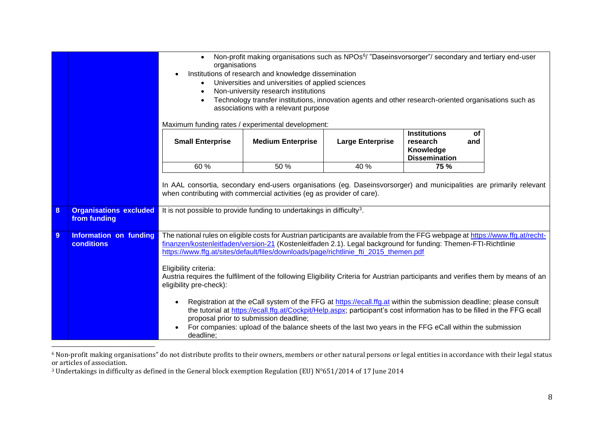|   |                                                    | Non-profit making organisations such as NPOs <sup>6</sup> / "Daseinsvorsorger"/ secondary and tertiary end-user<br>$\bullet$<br>organisations<br>Institutions of research and knowledge dissemination<br>Universities and universities of applied sciences<br>$\bullet$<br>Non-university research institutions<br>Technology transfer institutions, innovation agents and other research-oriented organisations such as<br>associations with a relevant purpose<br>Maximum funding rates / experimental development: |                                                                                                                                                                                                                                                                                                                                                                                                                                                                              |      |      |  |  |  |  |
|---|----------------------------------------------------|-----------------------------------------------------------------------------------------------------------------------------------------------------------------------------------------------------------------------------------------------------------------------------------------------------------------------------------------------------------------------------------------------------------------------------------------------------------------------------------------------------------------------|------------------------------------------------------------------------------------------------------------------------------------------------------------------------------------------------------------------------------------------------------------------------------------------------------------------------------------------------------------------------------------------------------------------------------------------------------------------------------|------|------|--|--|--|--|
|   |                                                    | <b>Institutions</b><br>οf<br><b>Small Enterprise</b><br><b>Medium Enterprise</b><br><b>Large Enterprise</b><br>research<br>and<br>Knowledge<br><b>Dissemination</b>                                                                                                                                                                                                                                                                                                                                                   |                                                                                                                                                                                                                                                                                                                                                                                                                                                                              |      |      |  |  |  |  |
|   |                                                    | 60 %                                                                                                                                                                                                                                                                                                                                                                                                                                                                                                                  | 50 %                                                                                                                                                                                                                                                                                                                                                                                                                                                                         | 40 % | 75 % |  |  |  |  |
|   |                                                    |                                                                                                                                                                                                                                                                                                                                                                                                                                                                                                                       | In AAL consortia, secondary end-users organisations (eg. Daseinsvorsorger) and municipalities are primarily relevant<br>when contributing with commercial activities (eg as provider of care).                                                                                                                                                                                                                                                                               |      |      |  |  |  |  |
| 8 | <b>Organisations excluded</b><br>from funding      |                                                                                                                                                                                                                                                                                                                                                                                                                                                                                                                       | It is not possible to provide funding to undertakings in difficulty <sup>3</sup> .                                                                                                                                                                                                                                                                                                                                                                                           |      |      |  |  |  |  |
| 9 | <b>Information on funding</b><br><b>conditions</b> | Eligibility criteria:<br>eligibility pre-check):                                                                                                                                                                                                                                                                                                                                                                                                                                                                      | The national rules on eligible costs for Austrian participants are available from the FFG webpage at https://www.ffg.at/recht-<br>finanzen/kostenleitfaden/version-21 (Kostenleitfaden 2.1). Legal background for funding: Themen-FTI-Richtlinie<br>https://www.ffg.at/sites/default/files/downloads/page/richtlinie_fti_2015_themen.pdf<br>Austria requires the fulfilment of the following Eligibility Criteria for Austrian participants and verifies them by means of an |      |      |  |  |  |  |
|   |                                                    | deadline:                                                                                                                                                                                                                                                                                                                                                                                                                                                                                                             | Registration at the eCall system of the FFG at https://ecall.ffg.at within the submission deadline; please consult<br>the tutorial at https://ecall.ffg.at/Cockpit/Help.aspx; participant's cost information has to be filled in the FFG ecall<br>proposal prior to submission deadline;<br>For companies: upload of the balance sheets of the last two years in the FFG eCall within the submission                                                                         |      |      |  |  |  |  |

 $6$  Non-profit making organisations" do not distribute profits to their owners, members or other natural persons or legal entities in accordance with their legal status or articles of association.

<sup>3</sup> Undertakings in difficulty as defined in the General block exemption Regulation (EU) N°651/2014 of 17 June 2014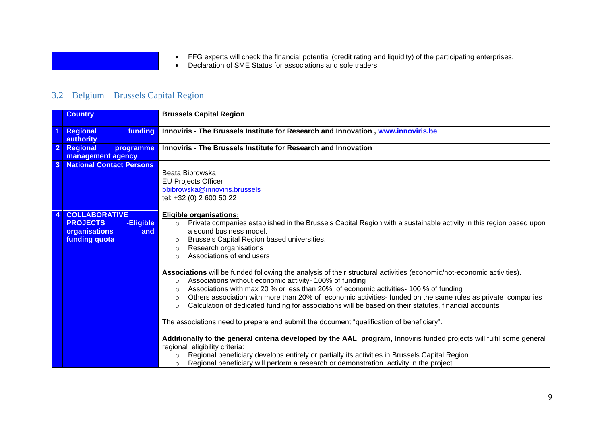| • FFG experts will check the financial potential (credit rating and liquidity) of the participating enterprises. |
|------------------------------------------------------------------------------------------------------------------|
| • Declaration of SME Status for associations and sole traders                                                    |

# 3.2 Belgium – Brussels Capital Region

<span id="page-8-0"></span>

|                | <b>Country</b>                                                                                | <b>Brussels Capital Region</b>                                                                                                                                                                                                                                                                                                                                                                                                                                                                                                                                                                                                                                                                                                                                                                                                                                                                                                                                                                                                                                                                                                                                                                                                                                                                                                                   |
|----------------|-----------------------------------------------------------------------------------------------|--------------------------------------------------------------------------------------------------------------------------------------------------------------------------------------------------------------------------------------------------------------------------------------------------------------------------------------------------------------------------------------------------------------------------------------------------------------------------------------------------------------------------------------------------------------------------------------------------------------------------------------------------------------------------------------------------------------------------------------------------------------------------------------------------------------------------------------------------------------------------------------------------------------------------------------------------------------------------------------------------------------------------------------------------------------------------------------------------------------------------------------------------------------------------------------------------------------------------------------------------------------------------------------------------------------------------------------------------|
|                | funding<br>Regional<br>authority                                                              | Innoviris - The Brussels Institute for Research and Innovation, www.innoviris.be                                                                                                                                                                                                                                                                                                                                                                                                                                                                                                                                                                                                                                                                                                                                                                                                                                                                                                                                                                                                                                                                                                                                                                                                                                                                 |
| $\overline{2}$ | Regional<br>programme<br>management agency                                                    | Innoviris - The Brussels Institute for Research and Innovation                                                                                                                                                                                                                                                                                                                                                                                                                                                                                                                                                                                                                                                                                                                                                                                                                                                                                                                                                                                                                                                                                                                                                                                                                                                                                   |
| 3              | <b>National Contact Persons</b>                                                               | Beata Bibrowska<br><b>EU Projects Officer</b><br>bbibrowska@innoviris.brussels<br>tel: +32 (0) 2 600 50 22                                                                                                                                                                                                                                                                                                                                                                                                                                                                                                                                                                                                                                                                                                                                                                                                                                                                                                                                                                                                                                                                                                                                                                                                                                       |
|                | <b>COLLABORATIVE</b><br><b>PROJECTS</b><br>-Eligible<br>organisations<br>and<br>funding quota | <b>Eligible organisations:</b><br>Private companies established in the Brussels Capital Region with a sustainable activity in this region based upon<br>$\circ$<br>a sound business model.<br>Brussels Capital Region based universities,<br>$\circ$<br>Research organisations<br>$\circ$<br>Associations of end users<br>$\bigcirc$<br>Associations will be funded following the analysis of their structural activities (economic/not-economic activities).<br>Associations without economic activity- 100% of funding<br>$\circ$<br>Associations with max 20 % or less than 20% of economic activities- 100 % of funding<br>$\circ$<br>Others association with more than 20% of economic activities- funded on the same rules as private companies<br>$\circ$<br>Calculation of dedicated funding for associations will be based on their statutes, financial accounts<br>$\circ$<br>The associations need to prepare and submit the document "qualification of beneficiary".<br>Additionally to the general criteria developed by the AAL program, Innoviris funded projects will fulfil some general<br>regional eligibility criteria:<br>Regional beneficiary develops entirely or partially its activities in Brussels Capital Region<br>Regional beneficiary will perform a research or demonstration activity in the project<br>$\circ$ |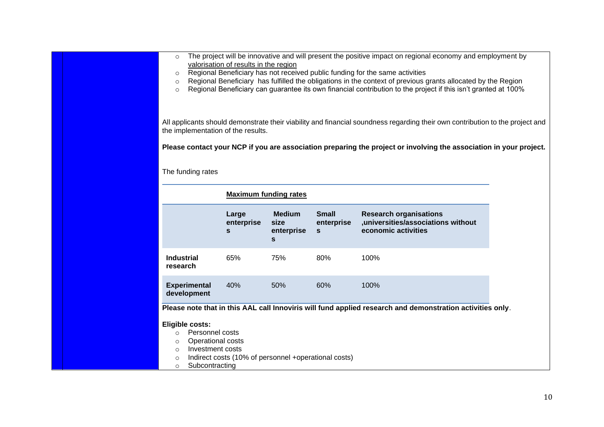| The project will be innovative and will present the positive impact on regional economy and employment by<br>$\circ$<br>valorisation of results in the region<br>Regional Beneficiary has not received public funding for the same activities<br>$\circ$<br>Regional Beneficiary has fulfilled the obligations in the context of previous grants allocated by the Region<br>$\circ$<br>Regional Beneficiary can guarantee its own financial contribution to the project if this isn't granted at 100%<br>$\circ$<br>All applicants should demonstrate their viability and financial soundness regarding their own contribution to the project and<br>the implementation of the results.<br>Please contact your NCP if you are association preparing the project or involving the association in your project. |                                                      |                                                     |                                        |                                                                                                           |  |  |  |
|---------------------------------------------------------------------------------------------------------------------------------------------------------------------------------------------------------------------------------------------------------------------------------------------------------------------------------------------------------------------------------------------------------------------------------------------------------------------------------------------------------------------------------------------------------------------------------------------------------------------------------------------------------------------------------------------------------------------------------------------------------------------------------------------------------------|------------------------------------------------------|-----------------------------------------------------|----------------------------------------|-----------------------------------------------------------------------------------------------------------|--|--|--|
| The funding rates<br><b>Maximum funding rates</b>                                                                                                                                                                                                                                                                                                                                                                                                                                                                                                                                                                                                                                                                                                                                                             |                                                      |                                                     |                                        |                                                                                                           |  |  |  |
|                                                                                                                                                                                                                                                                                                                                                                                                                                                                                                                                                                                                                                                                                                                                                                                                               | Large<br>enterprise<br>$\mathbf{s}$                  | <b>Medium</b><br>size<br>enterprise<br>$\mathbf{s}$ | <b>Small</b><br>enterprise<br><b>S</b> | <b>Research organisations</b><br>,universities/associations without<br>economic activities                |  |  |  |
| <b>Industrial</b><br>research                                                                                                                                                                                                                                                                                                                                                                                                                                                                                                                                                                                                                                                                                                                                                                                 | 65%                                                  | 75%                                                 | 80%                                    | 100%                                                                                                      |  |  |  |
| <b>Experimental</b><br>development                                                                                                                                                                                                                                                                                                                                                                                                                                                                                                                                                                                                                                                                                                                                                                            | 40%                                                  | 50%                                                 | 60%                                    | 100%                                                                                                      |  |  |  |
| <b>Eligible costs:</b><br>Personnel costs<br>$\circ$<br>Operational costs<br>$\circ$<br>Investment costs<br>$\circ$<br>$\circ$<br>Subcontracting<br>$\circ$                                                                                                                                                                                                                                                                                                                                                                                                                                                                                                                                                                                                                                                   | Indirect costs (10% of personnel +operational costs) |                                                     |                                        | Please note that in this AAL call Innoviris will fund applied research and demonstration activities only. |  |  |  |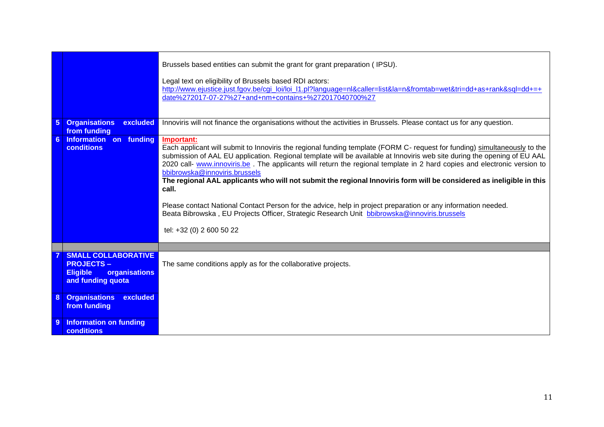|                 |                                                                                                         | Brussels based entities can submit the grant for grant preparation (IPSU).<br>Legal text on eligibility of Brussels based RDI actors:<br>http://www.ejustice.just.fgov.be/cgi_loi/loi_l1.pl?language=nl&caller=list&la=n&fromtab=wet&tri=dd+as+rank&sql=dd+=+<br>date%272017-07-27%27+and+nm+contains+%272017040700%27                                                                                                                                                                                                                                                                                                                                                                                                                                                                                        |
|-----------------|---------------------------------------------------------------------------------------------------------|---------------------------------------------------------------------------------------------------------------------------------------------------------------------------------------------------------------------------------------------------------------------------------------------------------------------------------------------------------------------------------------------------------------------------------------------------------------------------------------------------------------------------------------------------------------------------------------------------------------------------------------------------------------------------------------------------------------------------------------------------------------------------------------------------------------|
| $5\phantom{1}$  | <b>Organisations</b><br>excluded<br>from funding                                                        | Innoviris will not finance the organisations without the activities in Brussels. Please contact us for any question.                                                                                                                                                                                                                                                                                                                                                                                                                                                                                                                                                                                                                                                                                          |
| $6\overline{6}$ | Information on funding<br><b>conditions</b>                                                             | Important:<br>Each applicant will submit to Innoviris the regional funding template (FORM C- request for funding) simultaneously to the<br>submission of AAL EU application. Regional template will be available at Innoviris web site during the opening of EU AAL<br>2020 call- www.innoviris.be. The applicants will return the regional template in 2 hard copies and electronic version to<br>bbibrowska@innoviris.brussels<br>The regional AAL applicants who will not submit the regional Innoviris form will be considered as ineligible in this<br>call.<br>Please contact National Contact Person for the advice, help in project preparation or any information needed.<br>Beata Bibrowska, EU Projects Officer, Strategic Research Unit bbibrowska@innoviris.brussels<br>tel: +32 (0) 2 600 50 22 |
|                 |                                                                                                         |                                                                                                                                                                                                                                                                                                                                                                                                                                                                                                                                                                                                                                                                                                                                                                                                               |
|                 | <b>SMALL COLLABORATIVE</b><br><b>PROJECTS-</b><br><b>Eligible</b><br>organisations<br>and funding quota | The same conditions apply as for the collaborative projects.                                                                                                                                                                                                                                                                                                                                                                                                                                                                                                                                                                                                                                                                                                                                                  |
| 8               | <b>Organisations excluded</b><br>from funding                                                           |                                                                                                                                                                                                                                                                                                                                                                                                                                                                                                                                                                                                                                                                                                                                                                                                               |
| $\overline{9}$  | <b>Information on funding</b><br>conditions                                                             |                                                                                                                                                                                                                                                                                                                                                                                                                                                                                                                                                                                                                                                                                                                                                                                                               |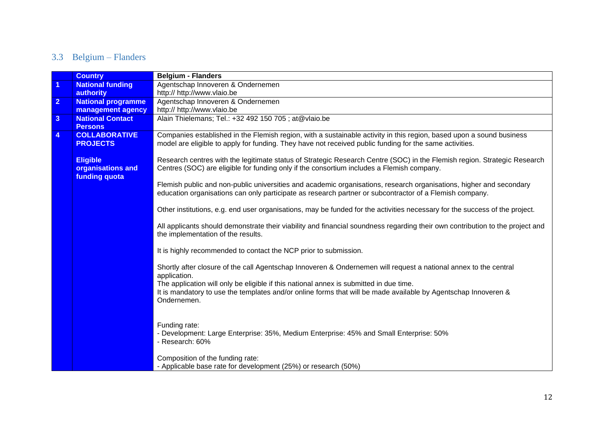# 3.3 Belgium – Flanders

<span id="page-11-0"></span>

|                         | <b>Country</b>                                        | <b>Belgium - Flanders</b>                                                                                                                                                                                                       |
|-------------------------|-------------------------------------------------------|---------------------------------------------------------------------------------------------------------------------------------------------------------------------------------------------------------------------------------|
| $\overline{1}$          | <b>National funding</b>                               | Agentschap Innoveren & Ondernemen                                                                                                                                                                                               |
|                         | authority                                             | http:// http://www.vlaio.be                                                                                                                                                                                                     |
| $\overline{2}$          | <b>National programme</b>                             | Agentschap Innoveren & Ondernemen                                                                                                                                                                                               |
|                         | management agency                                     | http:// http://www.vlaio.be                                                                                                                                                                                                     |
| $\overline{3}$          | <b>National Contact</b>                               | Alain Thielemans; Tel.: +32 492 150 705 ; at@vlaio.be                                                                                                                                                                           |
|                         | <b>Persons</b>                                        |                                                                                                                                                                                                                                 |
| $\overline{\mathbf{4}}$ | <b>COLLABORATIVE</b><br><b>PROJECTS</b>               | Companies established in the Flemish region, with a sustainable activity in this region, based upon a sound business<br>model are eligible to apply for funding. They have not received public funding for the same activities. |
|                         |                                                       |                                                                                                                                                                                                                                 |
|                         | <b>Eligible</b><br>organisations and<br>funding quota | Research centres with the legitimate status of Strategic Research Centre (SOC) in the Flemish region. Strategic Research<br>Centres (SOC) are eligible for funding only if the consortium includes a Flemish company.           |
|                         |                                                       | Flemish public and non-public universities and academic organisations, research organisations, higher and secondary<br>education organisations can only participate as research partner or subcontractor of a Flemish company.  |
|                         |                                                       | Other institutions, e.g. end user organisations, may be funded for the activities necessary for the success of the project.                                                                                                     |
|                         |                                                       | All applicants should demonstrate their viability and financial soundness regarding their own contribution to the project and<br>the implementation of the results.                                                             |
|                         |                                                       | It is highly recommended to contact the NCP prior to submission.                                                                                                                                                                |
|                         |                                                       | Shortly after closure of the call Agentschap Innoveren & Ondernemen will request a national annex to the central<br>application.                                                                                                |
|                         |                                                       | The application will only be eligible if this national annex is submitted in due time.<br>It is mandatory to use the templates and/or online forms that will be made available by Agentschap Innoveren &<br>Ondernemen.         |
|                         |                                                       | Funding rate:<br>- Development: Large Enterprise: 35%, Medium Enterprise: 45% and Small Enterprise: 50%<br>- Research: 60%                                                                                                      |
|                         |                                                       | Composition of the funding rate:<br>- Applicable base rate for development (25%) or research (50%)                                                                                                                              |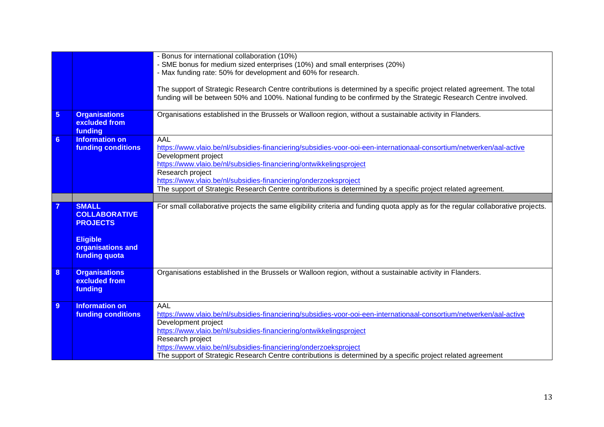|                 |                           | - Bonus for international collaboration (10%)                                                                                     |
|-----------------|---------------------------|-----------------------------------------------------------------------------------------------------------------------------------|
|                 |                           | - SME bonus for medium sized enterprises (10%) and small enterprises (20%)                                                        |
|                 |                           | - Max funding rate: 50% for development and 60% for research.                                                                     |
|                 |                           |                                                                                                                                   |
|                 |                           | The support of Strategic Research Centre contributions is determined by a specific project related agreement. The total           |
|                 |                           | funding will be between 50% and 100%. National funding to be confirmed by the Strategic Research Centre involved.                 |
|                 |                           |                                                                                                                                   |
| $5\phantom{.0}$ | <b>Organisations</b>      | Organisations established in the Brussels or Walloon region, without a sustainable activity in Flanders.                          |
|                 | excluded from             |                                                                                                                                   |
|                 | funding                   |                                                                                                                                   |
| $6\phantom{a}$  | <b>Information on</b>     | AAL                                                                                                                               |
|                 | <b>funding conditions</b> | https://www.vlaio.be/nl/subsidies-financiering/subsidies-voor-ooi-een-internationaal-consortium/netwerken/aal-active              |
|                 |                           | Development project                                                                                                               |
|                 |                           | https://www.vlaio.be/nl/subsidies-financiering/ontwikkelingsproject                                                               |
|                 |                           | Research project                                                                                                                  |
|                 |                           | https://www.vlaio.be/nl/subsidies-financiering/onderzoeksproject                                                                  |
|                 |                           | The support of Strategic Research Centre contributions is determined by a specific project related agreement.                     |
|                 |                           |                                                                                                                                   |
| $\overline{7}$  | <b>SMALL</b>              | For small collaborative projects the same eligibility criteria and funding quota apply as for the regular collaborative projects. |
|                 | <b>COLLABORATIVE</b>      |                                                                                                                                   |
|                 | <b>PROJECTS</b>           |                                                                                                                                   |
|                 |                           |                                                                                                                                   |
|                 | <b>Eligible</b>           |                                                                                                                                   |
|                 | organisations and         |                                                                                                                                   |
|                 | funding quota             |                                                                                                                                   |
|                 |                           |                                                                                                                                   |
| 8               | <b>Organisations</b>      | Organisations established in the Brussels or Walloon region, without a sustainable activity in Flanders.                          |
|                 | excluded from             |                                                                                                                                   |
|                 | funding                   |                                                                                                                                   |
|                 |                           |                                                                                                                                   |
| 9               | <b>Information on</b>     | AAL                                                                                                                               |
|                 | <b>funding conditions</b> | https://www.vlaio.be/nl/subsidies-financiering/subsidies-voor-ooi-een-internationaal-consortium/netwerken/aal-active              |
|                 |                           | Development project                                                                                                               |
|                 |                           | https://www.vlaio.be/nl/subsidies-financiering/ontwikkelingsproject                                                               |
|                 |                           | Research project                                                                                                                  |
|                 |                           | https://www.vlaio.be/nl/subsidies-financiering/onderzoeksproject                                                                  |
|                 |                           | The support of Strategic Research Centre contributions is determined by a specific project related agreement                      |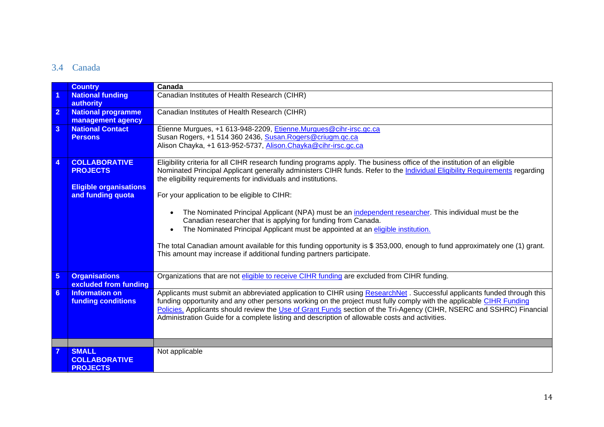### 3.4 Canada

<span id="page-13-0"></span>

|                | <b>Country</b>                | Canada                                                                                                                     |
|----------------|-------------------------------|----------------------------------------------------------------------------------------------------------------------------|
| 1              | <b>National funding</b>       | Canadian Institutes of Health Research (CIHR)                                                                              |
|                | authority                     |                                                                                                                            |
| $\overline{2}$ | <b>National programme</b>     | Canadian Institutes of Health Research (CIHR)                                                                              |
|                | management agency             |                                                                                                                            |
| $\mathbf{3}$   | <b>National Contact</b>       | Étienne Murgues, +1 613-948-2209, Etienne Murgues@cihr-irsc.gc.ca                                                          |
|                | <b>Persons</b>                | Susan Rogers, +1 514 360 2436, Susan. Rogers@criugm.gc.ca                                                                  |
|                |                               | Alison Chayka, +1 613-952-5737, Alison.Chayka@cihr-irsc.gc.ca                                                              |
| $\overline{4}$ | <b>COLLABORATIVE</b>          | Eligibility criteria for all CIHR research funding programs apply. The business office of the institution of an eligible   |
|                | <b>PROJECTS</b>               | Nominated Principal Applicant generally administers CIHR funds. Refer to the Individual Eligibility Requirements regarding |
|                |                               | the eligibility requirements for individuals and institutions.                                                             |
|                | <b>Eligible organisations</b> |                                                                                                                            |
|                | and funding quota             | For your application to be eligible to CIHR:                                                                               |
|                |                               |                                                                                                                            |
|                |                               | The Nominated Principal Applicant (NPA) must be an independent researcher. This individual must be the                     |
|                |                               | Canadian researcher that is applying for funding from Canada.                                                              |
|                |                               | The Nominated Principal Applicant must be appointed at an eligible institution.                                            |
|                |                               |                                                                                                                            |
|                |                               | The total Canadian amount available for this funding opportunity is \$353,000, enough to fund approximately one (1) grant. |
|                |                               | This amount may increase if additional funding partners participate.                                                       |
|                |                               |                                                                                                                            |
| $\overline{5}$ | <b>Organisations</b>          | Organizations that are not eligible to receive CIHR funding are excluded from CIHR funding.                                |
|                | excluded from funding         |                                                                                                                            |
| 6 <sup>°</sup> | Information on                | Applicants must submit an abbreviated application to CIHR using ResearchNet. Successful applicants funded through this     |
|                | <b>funding conditions</b>     | funding opportunity and any other persons working on the project must fully comply with the applicable CIHR Funding        |
|                |                               | Policies. Applicants should review the Use of Grant Funds section of the Tri-Agency (CIHR, NSERC and SSHRC) Financial      |
|                |                               | Administration Guide for a complete listing and description of allowable costs and activities.                             |
|                |                               |                                                                                                                            |
|                |                               |                                                                                                                            |
|                | <b>SMALL</b>                  | Not applicable                                                                                                             |
|                | <b>COLLABORATIVE</b>          |                                                                                                                            |
|                | <b>PROJECTS</b>               |                                                                                                                            |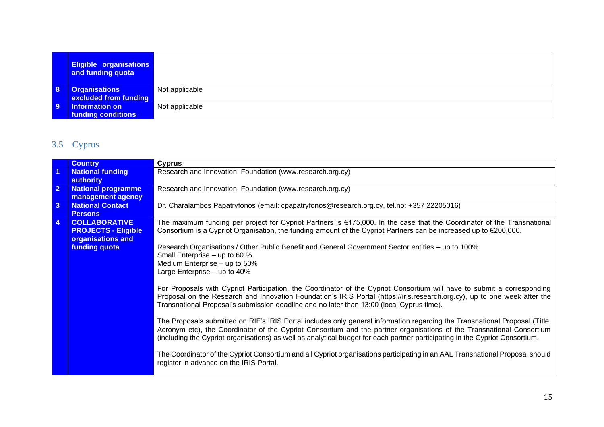|                | <b>Eligible organisations</b><br>and funding quota |                |
|----------------|----------------------------------------------------|----------------|
| <b>8</b>       | <b>Organisations</b><br>excluded from funding      | Not applicable |
| $\overline{9}$ | Information on<br>funding conditions               | Not applicable |

# 3.5 Cyprus

<span id="page-14-0"></span>

|                         | <b>Country</b>                                                                           | <b>Cyprus</b>                                                                                                                                                                                                                                                                                                                                                                                                                                                                                                                                                                                                                                                                                                                                                                                                                                                                                                                                                                                                                                                                                                                                                                                                                                                                                                                                                                |
|-------------------------|------------------------------------------------------------------------------------------|------------------------------------------------------------------------------------------------------------------------------------------------------------------------------------------------------------------------------------------------------------------------------------------------------------------------------------------------------------------------------------------------------------------------------------------------------------------------------------------------------------------------------------------------------------------------------------------------------------------------------------------------------------------------------------------------------------------------------------------------------------------------------------------------------------------------------------------------------------------------------------------------------------------------------------------------------------------------------------------------------------------------------------------------------------------------------------------------------------------------------------------------------------------------------------------------------------------------------------------------------------------------------------------------------------------------------------------------------------------------------|
| $\vert$                 | <b>National funding</b><br>authority                                                     | Research and Innovation Foundation (www.research.org.cy)                                                                                                                                                                                                                                                                                                                                                                                                                                                                                                                                                                                                                                                                                                                                                                                                                                                                                                                                                                                                                                                                                                                                                                                                                                                                                                                     |
| $\overline{2}$          | <b>National programme</b><br>management agency                                           | Research and Innovation Foundation (www.research.org.cy)                                                                                                                                                                                                                                                                                                                                                                                                                                                                                                                                                                                                                                                                                                                                                                                                                                                                                                                                                                                                                                                                                                                                                                                                                                                                                                                     |
| $\overline{\mathbf{3}}$ | <b>National Contact</b><br><b>Persons</b>                                                | Dr. Charalambos Papatryfonos (email: cpapatryfonos@research.org.cy, tel.no: +357 22205016)                                                                                                                                                                                                                                                                                                                                                                                                                                                                                                                                                                                                                                                                                                                                                                                                                                                                                                                                                                                                                                                                                                                                                                                                                                                                                   |
| $\overline{4}$          | <b>COLLABORATIVE</b><br><b>PROJECTS - Eligible</b><br>organisations and<br>funding quota | The maximum funding per project for Cypriot Partners is €175,000. In the case that the Coordinator of the Transnational<br>Consortium is a Cypriot Organisation, the funding amount of the Cypriot Partners can be increased up to €200,000.<br>Research Organisations / Other Public Benefit and General Government Sector entities – up to 100%<br>Small Enterprise - up to 60 %<br>Medium Enterprise - up to 50%<br>Large Enterprise - up to 40%<br>For Proposals with Cypriot Participation, the Coordinator of the Cypriot Consortium will have to submit a corresponding<br>Proposal on the Research and Innovation Foundation's IRIS Portal (https://iris.research.org.cy), up to one week after the<br>Transnational Proposal's submission deadline and no later than 13:00 (local Cyprus time).<br>The Proposals submitted on RIF's IRIS Portal includes only general information regarding the Transnational Proposal (Title,<br>Acronym etc), the Coordinator of the Cypriot Consortium and the partner organisations of the Transnational Consortium<br>(including the Cypriot organisations) as well as analytical budget for each partner participating in the Cypriot Consortium.<br>The Coordinator of the Cypriot Consortium and all Cypriot organisations participating in an AAL Transnational Proposal should<br>register in advance on the IRIS Portal. |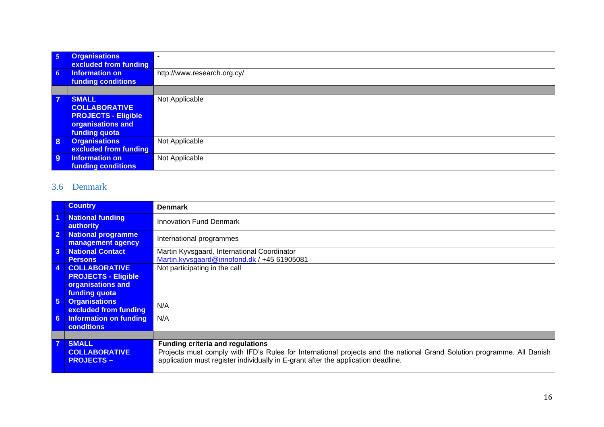| $\overline{5}$ | <b>Organisations</b><br>excluded from funding                                                            |                             |
|----------------|----------------------------------------------------------------------------------------------------------|-----------------------------|
| -6             | Information on<br>funding conditions                                                                     | http://www.research.org.cy/ |
|                |                                                                                                          |                             |
| $\overline{7}$ | <b>SMALL</b><br><b>COLLABORATIVE</b><br><b>PROJECTS - Eligible</b><br>organisations and<br>funding quota | Not Applicable              |
| 8              | <b>Organisations</b><br>excluded from funding                                                            | Not Applicable              |
| 9              | Information on<br>funding conditions                                                                     | Not Applicable              |

### 3.6 Denmark

<span id="page-15-0"></span>

|                | <b>Country</b>                                 | <b>Denmark</b>                                                                                                         |
|----------------|------------------------------------------------|------------------------------------------------------------------------------------------------------------------------|
| $\overline{1}$ | <b>National funding</b><br>authority           | <b>Innovation Fund Denmark</b>                                                                                         |
|                | <b>National programme</b><br>management agency | International programmes                                                                                               |
| 3 <sup>1</sup> | <b>National Contact</b>                        | Martin Kyvsgaard, International Coordinator                                                                            |
|                | <b>Persons</b>                                 | Martin.kyvsgaard@innofond.dk / +45 61905081                                                                            |
| 4              | <b>COLLABORATIVE</b>                           | Not participating in the call                                                                                          |
|                | <b>PROJECTS - Eligible</b>                     |                                                                                                                        |
|                | organisations and                              |                                                                                                                        |
|                | <b>funding quota</b>                           |                                                                                                                        |
| 5 <sup>1</sup> | <b>Organisations</b><br>excluded from funding  | N/A                                                                                                                    |
| 6 <sup>1</sup> | Information on funding                         | N/A                                                                                                                    |
|                | <b>conditions</b>                              |                                                                                                                        |
|                |                                                |                                                                                                                        |
|                | <b>SMALL</b>                                   | <b>Funding criteria and regulations</b>                                                                                |
|                | <b>COLLABORATIVE</b>                           | Projects must comply with IFD's Rules for International projects and the national Grand Solution programme. All Danish |
|                | <b>PROJECTS –</b>                              | application must register individually in E-grant after the application deadline.                                      |
|                |                                                |                                                                                                                        |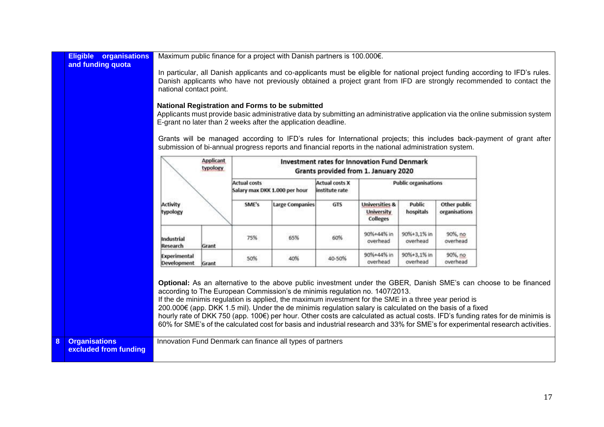|   | organisations<br><b>Eligible</b> | Maximum public finance for a project with Danish partners is 100.000€.                                                                                                                                                                      |  |                     |                               |                                         |                                                     |                             |               |                                                                                                                                |
|---|----------------------------------|---------------------------------------------------------------------------------------------------------------------------------------------------------------------------------------------------------------------------------------------|--|---------------------|-------------------------------|-----------------------------------------|-----------------------------------------------------|-----------------------------|---------------|--------------------------------------------------------------------------------------------------------------------------------|
|   | and funding quota                |                                                                                                                                                                                                                                             |  |                     |                               |                                         |                                                     |                             |               |                                                                                                                                |
|   |                                  | In particular, all Danish applicants and co-applicants must be eligible for national project funding according to IFD's rules.                                                                                                              |  |                     |                               |                                         |                                                     |                             |               |                                                                                                                                |
|   |                                  | Danish applicants who have not previously obtained a project grant from IFD are strongly recommended to contact the                                                                                                                         |  |                     |                               |                                         |                                                     |                             |               |                                                                                                                                |
|   |                                  | national contact point.                                                                                                                                                                                                                     |  |                     |                               |                                         |                                                     |                             |               |                                                                                                                                |
|   |                                  |                                                                                                                                                                                                                                             |  |                     |                               |                                         |                                                     |                             |               |                                                                                                                                |
|   |                                  | <b>National Registration and Forms to be submitted</b>                                                                                                                                                                                      |  |                     |                               |                                         |                                                     |                             |               |                                                                                                                                |
|   |                                  |                                                                                                                                                                                                                                             |  |                     |                               |                                         |                                                     |                             |               | Applicants must provide basic administrative data by submitting an administrative application via the online submission system |
|   |                                  | E-grant no later than 2 weeks after the application deadline.                                                                                                                                                                               |  |                     |                               |                                         |                                                     |                             |               |                                                                                                                                |
|   |                                  |                                                                                                                                                                                                                                             |  |                     |                               |                                         |                                                     |                             |               |                                                                                                                                |
|   |                                  |                                                                                                                                                                                                                                             |  |                     |                               |                                         |                                                     |                             |               | Grants will be managed according to IFD's rules for International projects; this includes back-payment of grant after          |
|   |                                  | submission of bi-annual progress reports and financial reports in the national administration system.                                                                                                                                       |  |                     |                               |                                         |                                                     |                             |               |                                                                                                                                |
|   |                                  | <b>Applicant</b>                                                                                                                                                                                                                            |  |                     |                               |                                         | <b>Investment rates for Innovation Fund Denmark</b> |                             |               |                                                                                                                                |
|   |                                  | typology                                                                                                                                                                                                                                    |  |                     |                               |                                         | Grants provided from 1. January 2020                |                             |               |                                                                                                                                |
|   |                                  |                                                                                                                                                                                                                                             |  | <b>Actual costs</b> |                               |                                         |                                                     | <b>Public organisations</b> |               |                                                                                                                                |
|   |                                  |                                                                                                                                                                                                                                             |  |                     | Salary max DKK 1.000 per hour | <b>Actual costs X</b><br>institute rate |                                                     |                             |               |                                                                                                                                |
|   |                                  |                                                                                                                                                                                                                                             |  |                     |                               |                                         |                                                     |                             |               |                                                                                                                                |
|   |                                  | Activity                                                                                                                                                                                                                                    |  | SME's               | <b>Large Companies</b>        | GTS                                     | <b>Universities &amp;</b>                           | Public                      | Other public  |                                                                                                                                |
|   |                                  | typology                                                                                                                                                                                                                                    |  |                     |                               |                                         | <b>University</b><br><b>Colleges</b>                | hospitals                   | organisations |                                                                                                                                |
|   |                                  |                                                                                                                                                                                                                                             |  |                     |                               |                                         |                                                     |                             |               |                                                                                                                                |
|   |                                  |                                                                                                                                                                                                                                             |  | 75%                 | 65%                           | 60%                                     | 90%+44% in                                          | 90%+3,1% in                 | 90%, no       |                                                                                                                                |
|   |                                  | Industrial<br><b>Research</b><br>Grant                                                                                                                                                                                                      |  |                     |                               |                                         | overhead                                            | overhead                    | overhead      |                                                                                                                                |
|   |                                  |                                                                                                                                                                                                                                             |  |                     |                               |                                         | 90%+44% in                                          | 90%+3,1% in                 | 90%, no       |                                                                                                                                |
|   |                                  | Experimental<br>Development<br>Grant                                                                                                                                                                                                        |  | 50%                 | 40%                           | 40-50%                                  | overhead                                            | overhead                    | overhead      |                                                                                                                                |
|   |                                  |                                                                                                                                                                                                                                             |  |                     |                               |                                         |                                                     |                             |               |                                                                                                                                |
|   |                                  |                                                                                                                                                                                                                                             |  |                     |                               |                                         |                                                     |                             |               |                                                                                                                                |
|   |                                  |                                                                                                                                                                                                                                             |  |                     |                               |                                         |                                                     |                             |               | Optional: As an alternative to the above public investment under the GBER, Danish SME's can choose to be financed              |
|   |                                  | according to The European Commission's de minimis regulation no. 1407/2013.                                                                                                                                                                 |  |                     |                               |                                         |                                                     |                             |               |                                                                                                                                |
|   |                                  | If the de minimis regulation is applied, the maximum investment for the SME in a three year period is                                                                                                                                       |  |                     |                               |                                         |                                                     |                             |               |                                                                                                                                |
|   |                                  | 200.000€ (app. DKK 1.5 mil). Under the de minimis regulation salary is calculated on the basis of a fixed<br>hourly rate of DKK 750 (app. 100€) per hour. Other costs are calculated as actual costs. IFD's funding rates for de minimis is |  |                     |                               |                                         |                                                     |                             |               |                                                                                                                                |
|   |                                  | 60% for SME's of the calculated cost for basis and industrial research and 33% for SME's for experimental research activities.                                                                                                              |  |                     |                               |                                         |                                                     |                             |               |                                                                                                                                |
|   |                                  |                                                                                                                                                                                                                                             |  |                     |                               |                                         |                                                     |                             |               |                                                                                                                                |
| 8 | <b>Organisations</b>             | Innovation Fund Denmark can finance all types of partners                                                                                                                                                                                   |  |                     |                               |                                         |                                                     |                             |               |                                                                                                                                |
|   | excluded from funding            |                                                                                                                                                                                                                                             |  |                     |                               |                                         |                                                     |                             |               |                                                                                                                                |
|   |                                  |                                                                                                                                                                                                                                             |  |                     |                               |                                         |                                                     |                             |               |                                                                                                                                |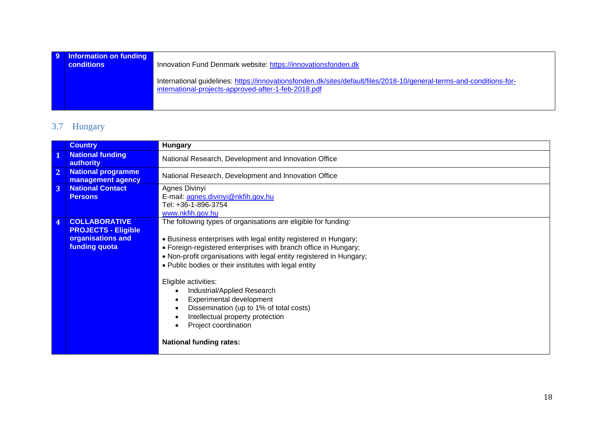| 9 Information on funding<br>conditions | Innovation Fund Denmark website: https://innovationsfonden.dk                                                                                                                |
|----------------------------------------|------------------------------------------------------------------------------------------------------------------------------------------------------------------------------|
|                                        | International guidelines: https://innovationsfonden.dk/sites/default/files/2018-10/general-terms-and-conditions-for-<br>international-projects-approved-after-1-feb-2018.pdf |

# 3.7 Hungary

<span id="page-17-0"></span>

|                | <b>Country</b>                                                                                  | <b>Hungary</b>                                                                                                                                                                                                                                                                                                                                                                                                                                                                                                                                                   |
|----------------|-------------------------------------------------------------------------------------------------|------------------------------------------------------------------------------------------------------------------------------------------------------------------------------------------------------------------------------------------------------------------------------------------------------------------------------------------------------------------------------------------------------------------------------------------------------------------------------------------------------------------------------------------------------------------|
| $\mathbf{1}$   | <b>National funding</b><br>authority                                                            | National Research, Development and Innovation Office                                                                                                                                                                                                                                                                                                                                                                                                                                                                                                             |
| 2 <sup>1</sup> | <b>National programme</b><br>management agency                                                  | National Research, Development and Innovation Office                                                                                                                                                                                                                                                                                                                                                                                                                                                                                                             |
| 3              | <b>National Contact</b><br><b>Persons</b>                                                       | Agnes Divinyi<br>E-mail: agnes.divinyi@nkfih.gov.hu<br>Tel: +36-1-896-3754<br>www.nkfih.gov.hu                                                                                                                                                                                                                                                                                                                                                                                                                                                                   |
| $\overline{4}$ | <b>COLLABORATIVE</b><br><b>PROJECTS - Eligible</b><br>organisations and<br><b>funding quota</b> | The following types of organisations are eligible for funding:<br>• Business enterprises with legal entity registered in Hungary;<br>• Foreign-registered enterprises with branch office in Hungary;<br>. Non-profit organisations with legal entity registered in Hungary;<br>• Public bodies or their institutes with legal entity<br>Eligible activities:<br>Industrial/Applied Research<br>Experimental development<br>Dissemination (up to 1% of total costs)<br>Intellectual property protection<br>Project coordination<br><b>National funding rates:</b> |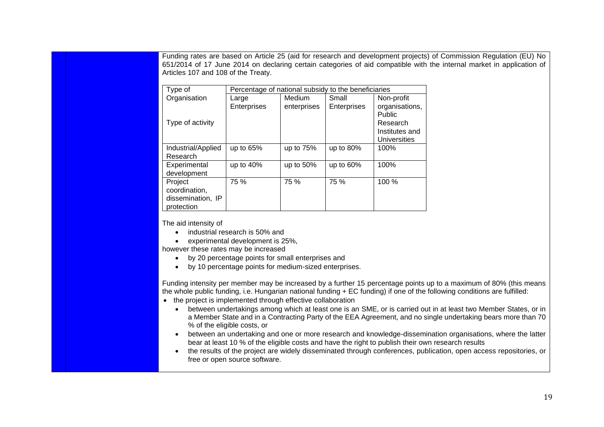Funding rates are based on Article 25 (aid for research and development projects) of Commission Regulation (EU) No 651/2014 of 17 June 2014 on declaring certain categories of aid compatible with the internal market in application of Articles 107 and 108 of the Treaty.

| Type of<br>Percentage of national subsidy to the beneficiaries |              |             |              |                                                                               |  |  |
|----------------------------------------------------------------|--------------|-------------|--------------|-------------------------------------------------------------------------------|--|--|
| Organisation                                                   | Large        | Medium      | Small        | Non-profit                                                                    |  |  |
| Type of activity                                               | Enterprises  | enterprises | Enterprises  | organisations,<br>Public<br>Research<br>Institutes and<br><b>Universities</b> |  |  |
| Industrial/Applied<br>Research                                 | up to 65%    | up to 75%   | up to $80\%$ | 100%                                                                          |  |  |
| Experimental<br>development                                    | up to $40\%$ | up to 50%   | up to 60%    | 100%                                                                          |  |  |
| Project<br>coordination,<br>dissemination, IP<br>protection    | 75 %         | 75 %        | 75 %         | 100%                                                                          |  |  |

The aid intensity of

- industrial research is 50% and
- experimental development is 25%,

however these rates may be increased

- by 20 percentage points for small enterprises and
- by 10 percentage points for medium-sized enterprises.

Funding intensity per member may be increased by a further 15 percentage points up to a maximum of 80% (this means the whole public funding, i.e. Hungarian national funding + EC funding) if one of the following conditions are fulfilled:

- the project is implemented through effective collaboration
	- between undertakings among which at least one is an SME, or is carried out in at least two Member States, or in a Member State and in a Contracting Party of the EEA Agreement, and no single undertaking bears more than 70 % of the eligible costs, or
	- between an undertaking and one or more research and knowledge-dissemination organisations, where the latter bear at least 10 % of the eligible costs and have the right to publish their own research results
	- the results of the project are widely disseminated through conferences, publication, open access repositories, or free or open source software.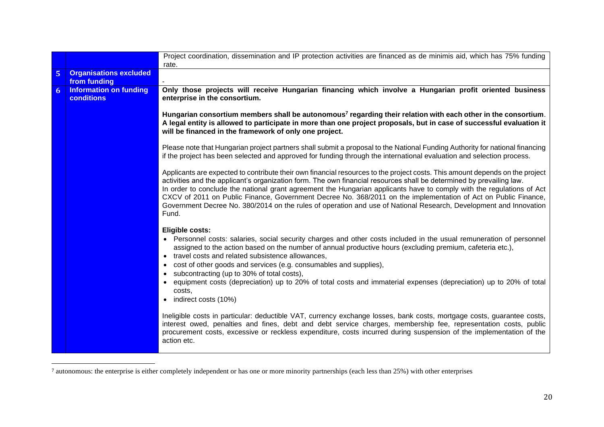|                |                                                    | Project coordination, dissemination and IP protection activities are financed as de minimis aid, which has 75% funding                                                                                                                                                                                                                                                                                                                                                                                                                                                                                                                                                                                                                    |
|----------------|----------------------------------------------------|-------------------------------------------------------------------------------------------------------------------------------------------------------------------------------------------------------------------------------------------------------------------------------------------------------------------------------------------------------------------------------------------------------------------------------------------------------------------------------------------------------------------------------------------------------------------------------------------------------------------------------------------------------------------------------------------------------------------------------------------|
|                |                                                    | rate.                                                                                                                                                                                                                                                                                                                                                                                                                                                                                                                                                                                                                                                                                                                                     |
| 5 <sup>1</sup> | <b>Organisations excluded</b><br>from funding      |                                                                                                                                                                                                                                                                                                                                                                                                                                                                                                                                                                                                                                                                                                                                           |
| 6              | <b>Information on funding</b><br><b>conditions</b> | Only those projects will receive Hungarian financing which involve a Hungarian profit oriented business<br>enterprise in the consortium.                                                                                                                                                                                                                                                                                                                                                                                                                                                                                                                                                                                                  |
|                |                                                    | Hungarian consortium members shall be autonomous <sup>7</sup> regarding their relation with each other in the consortium.<br>A legal entity is allowed to participate in more than one project proposals, but in case of successful evaluation it<br>will be financed in the framework of only one project.                                                                                                                                                                                                                                                                                                                                                                                                                               |
|                |                                                    | Please note that Hungarian project partners shall submit a proposal to the National Funding Authority for national financing<br>if the project has been selected and approved for funding through the international evaluation and selection process.                                                                                                                                                                                                                                                                                                                                                                                                                                                                                     |
|                |                                                    | Applicants are expected to contribute their own financial resources to the project costs. This amount depends on the project<br>activities and the applicant's organization form. The own financial resources shall be determined by prevailing law.<br>In order to conclude the national grant agreement the Hungarian applicants have to comply with the regulations of Act<br>CXCV of 2011 on Public Finance, Government Decree No. 368/2011 on the implementation of Act on Public Finance,<br>Government Decree No. 380/2014 on the rules of operation and use of National Research, Development and Innovation<br>Fund.                                                                                                             |
|                |                                                    | <b>Eligible costs:</b><br>• Personnel costs: salaries, social security charges and other costs included in the usual remuneration of personnel<br>assigned to the action based on the number of annual productive hours (excluding premium, cafeteria etc.),<br>• travel costs and related subsistence allowances,<br>cost of other goods and services (e.g. consumables and supplies),<br>$\bullet$<br>• subcontracting (up to 30% of total costs),<br>• equipment costs (depreciation) up to 20% of total costs and immaterial expenses (depreciation) up to 20% of total<br>costs.<br>• indirect costs (10%)<br>Ineligible costs in particular: deductible VAT, currency exchange losses, bank costs, mortgage costs, guarantee costs, |
|                |                                                    | interest owed, penalties and fines, debt and debt service charges, membership fee, representation costs, public<br>procurement costs, excessive or reckless expenditure, costs incurred during suspension of the implementation of the<br>action etc.                                                                                                                                                                                                                                                                                                                                                                                                                                                                                     |

<sup>7</sup> autonomous: the enterprise is either completely independent or has one or more minority partnerships (each less than 25%) with other enterprises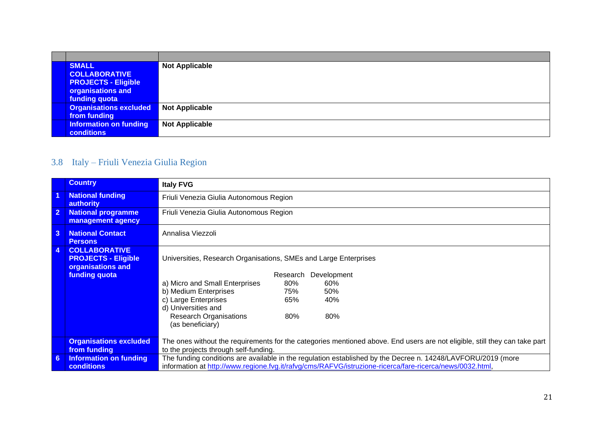| <b>SMALL</b><br><b>COLLABORATIVE</b><br><b>PROJECTS - Eligible</b><br>organisations and<br>funding quota | <b>Not Applicable</b> |
|----------------------------------------------------------------------------------------------------------|-----------------------|
| <b>Organisations excluded</b><br>from funding                                                            | <b>Not Applicable</b> |
| <b>Information on funding</b><br>conditions                                                              | <b>Not Applicable</b> |

# 3.8 Italy – Friuli Venezia Giulia Region

<span id="page-20-0"></span>

|                      | <b>Country</b>                                                          | <b>Italy FVG</b>                                                                                                           |  |  |
|----------------------|-------------------------------------------------------------------------|----------------------------------------------------------------------------------------------------------------------------|--|--|
| $\blacktriangleleft$ | <b>National funding</b><br>authority                                    | Friuli Venezia Giulia Autonomous Region                                                                                    |  |  |
| $\overline{2}$       | <b>National programme</b><br>management agency                          | Friuli Venezia Giulia Autonomous Region                                                                                    |  |  |
| $\overline{3}$       | <b>National Contact</b><br><b>Persons</b>                               | Annalisa Viezzoli                                                                                                          |  |  |
| $\overline{4}$       | <b>COLLABORATIVE</b><br><b>PROJECTS - Eligible</b><br>organisations and | Universities, Research Organisations, SMEs and Large Enterprises                                                           |  |  |
|                      | funding quota                                                           | Development<br>Research                                                                                                    |  |  |
|                      |                                                                         | 80%<br>a) Micro and Small Enterprises<br>60%                                                                               |  |  |
|                      |                                                                         | b) Medium Enterprises<br>75%<br>50%                                                                                        |  |  |
|                      |                                                                         | c) Large Enterprises<br>65%<br>40%                                                                                         |  |  |
|                      |                                                                         | d) Universities and                                                                                                        |  |  |
|                      |                                                                         | <b>Research Organisations</b><br>80%<br>80%<br>(as beneficiary)                                                            |  |  |
|                      | <b>Organisations excluded</b>                                           | The ones without the requirements for the categories mentioned above. End users are not eligible, still they can take part |  |  |
|                      | from funding                                                            | to the projects through self-funding.                                                                                      |  |  |
| -6                   | <b>Information on funding</b>                                           | The funding conditions are available in the regulation established by the Decree n. 14248/LAVFORU/2019 (more               |  |  |
|                      | <b>conditions</b>                                                       | information at http://www.regione.fvg.it/rafvg/cms/RAFVG/istruzione-ricerca/fare-ricerca/news/0032.html,                   |  |  |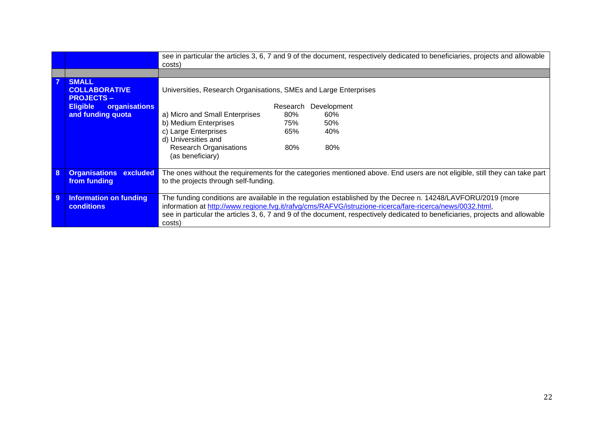|   |                                                          | costs)                                                           |          |             | see in particular the articles 3, 6, 7 and 9 of the document, respectively dedicated to beneficiaries, projects and allowable                                                                                            |
|---|----------------------------------------------------------|------------------------------------------------------------------|----------|-------------|--------------------------------------------------------------------------------------------------------------------------------------------------------------------------------------------------------------------------|
|   |                                                          |                                                                  |          |             |                                                                                                                                                                                                                          |
| 7 | <b>SMALL</b><br><b>COLLABORATIVE</b><br><b>PROJECTS-</b> | Universities, Research Organisations, SMEs and Large Enterprises |          |             |                                                                                                                                                                                                                          |
|   | <b>Eligible</b><br>organisations                         |                                                                  | Research | Development |                                                                                                                                                                                                                          |
|   | and funding quota                                        | a) Micro and Small Enterprises                                   | 80%      | 60%         |                                                                                                                                                                                                                          |
|   |                                                          | b) Medium Enterprises                                            | 75%      | 50%         |                                                                                                                                                                                                                          |
|   |                                                          | c) Large Enterprises                                             | 65%      | 40%         |                                                                                                                                                                                                                          |
|   |                                                          | d) Universities and                                              |          |             |                                                                                                                                                                                                                          |
|   |                                                          | <b>Research Organisations</b><br>(as beneficiary)                | 80%      | 80%         |                                                                                                                                                                                                                          |
| 8 | <b>Organisations</b><br>excluded                         |                                                                  |          |             | The ones without the requirements for the categories mentioned above. End users are not eligible, still they can take part                                                                                               |
|   | from funding                                             | to the projects through self-funding.                            |          |             |                                                                                                                                                                                                                          |
| 9 | <b>Information on funding</b><br>conditions              |                                                                  |          |             | The funding conditions are available in the regulation established by the Decree n. 14248/LAVFORU/2019 (more<br>information at http://www.regione.fvg.it/rafvg/cms/RAFVG/istruzione-ricerca/fare-ricerca/news/0032.html, |
|   |                                                          | costs                                                            |          |             | see in particular the articles 3, 6, 7 and 9 of the document, respectively dedicated to beneficiaries, projects and allowable                                                                                            |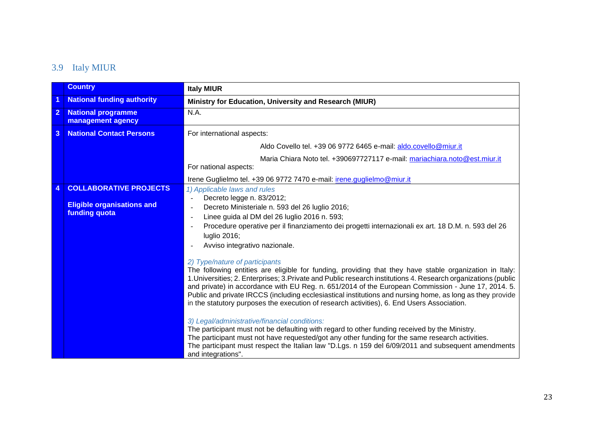# 3.9 Italy MIUR

<span id="page-22-0"></span>

|                | <b>Country</b>                                                                      | <b>Italy MIUR</b>                                                                                                                                                                                                                                                                                                                                                                                                                                                                                                                                                                                                                                                                                                                                                                                                                                                                                                                                             |
|----------------|-------------------------------------------------------------------------------------|---------------------------------------------------------------------------------------------------------------------------------------------------------------------------------------------------------------------------------------------------------------------------------------------------------------------------------------------------------------------------------------------------------------------------------------------------------------------------------------------------------------------------------------------------------------------------------------------------------------------------------------------------------------------------------------------------------------------------------------------------------------------------------------------------------------------------------------------------------------------------------------------------------------------------------------------------------------|
|                | <b>National funding authority</b>                                                   | Ministry for Education, University and Research (MIUR)                                                                                                                                                                                                                                                                                                                                                                                                                                                                                                                                                                                                                                                                                                                                                                                                                                                                                                        |
| $\mathbf{2}$   | <b>National programme</b><br>management agency                                      | N.A.                                                                                                                                                                                                                                                                                                                                                                                                                                                                                                                                                                                                                                                                                                                                                                                                                                                                                                                                                          |
| $\overline{3}$ | <b>National Contact Persons</b>                                                     | For international aspects:                                                                                                                                                                                                                                                                                                                                                                                                                                                                                                                                                                                                                                                                                                                                                                                                                                                                                                                                    |
|                |                                                                                     | Aldo Covello tel. +39 06 9772 6465 e-mail: aldo.covello@miur.it                                                                                                                                                                                                                                                                                                                                                                                                                                                                                                                                                                                                                                                                                                                                                                                                                                                                                               |
|                |                                                                                     | Maria Chiara Noto tel. +390697727117 e-mail: mariachiara.noto@est.miur.it<br>For national aspects:                                                                                                                                                                                                                                                                                                                                                                                                                                                                                                                                                                                                                                                                                                                                                                                                                                                            |
|                |                                                                                     | Irene Guglielmo tel. +39 06 9772 7470 e-mail: <i>irene.guglielmo@miur.it</i>                                                                                                                                                                                                                                                                                                                                                                                                                                                                                                                                                                                                                                                                                                                                                                                                                                                                                  |
|                | <b>COLLABORATIVE PROJECTS</b><br><b>Eligible organisations and</b><br>funding quota | 1) Applicable laws and rules<br>Decreto legge n. 83/2012;<br>Decreto Ministeriale n. 593 del 26 luglio 2016;<br>Linee guida al DM del 26 luglio 2016 n. 593;<br>$\blacksquare$<br>Procedure operative per il finanziamento dei progetti internazionali ex art. 18 D.M. n. 593 del 26<br>luglio 2016;<br>Avviso integrativo nazionale.                                                                                                                                                                                                                                                                                                                                                                                                                                                                                                                                                                                                                         |
|                |                                                                                     | 2) Type/nature of participants<br>The following entities are eligible for funding, providing that they have stable organization in Italy:<br>1. Universities; 2. Enterprises; 3. Private and Public research institutions 4. Research organizations (public<br>and private) in accordance with EU Reg. n. 651/2014 of the European Commission - June 17, 2014. 5.<br>Public and private IRCCS (including ecclesiastical institutions and nursing home, as long as they provide<br>in the statutory purposes the execution of research activities), 6. End Users Association.<br>3) Legal/administrative/financial conditions:<br>The participant must not be defaulting with regard to other funding received by the Ministry.<br>The participant must not have requested/got any other funding for the same research activities.<br>The participant must respect the Italian law "D.Lgs. n 159 del 6/09/2011 and subsequent amendments<br>and integrations". |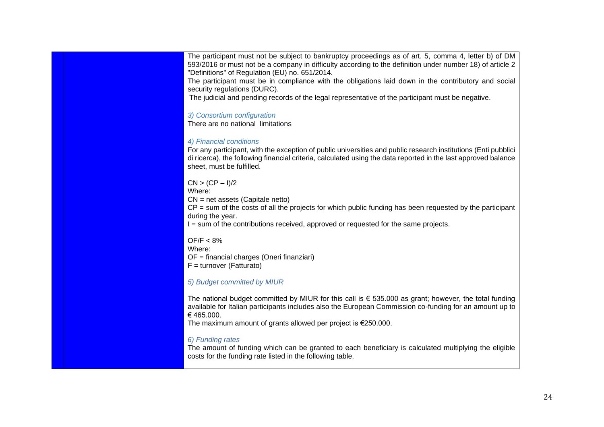The participant must not be subject to bankruptcy proceedings as of art. 5, comma 4, letter b) of DM 593/2016 or must not be a company in difficulty according to the definition under number 18) of article 2 "Definitions" of Regulation (EU) no. 651/2014.

The participant must be in compliance with the obligations laid down in the contributory and social security regulations (DURC).

The judicial and pending records of the legal representative of the participant must be negative.

#### *3) Consortium configuration*

There are no national limitations

#### *4) Financial conditions*

For any participant, with the exception of public universities and public research institutions (Enti pubblici di ricerca), the following financial criteria, calculated using the data reported in the last approved balance sheet, must be fulfilled.

#### $CN > (CP - 1)/2$

Where:

CN = net assets (Capitale netto)

 $CP =$  sum of the costs of all the projects for which public funding has been requested by the participant during the year.

I = sum of the contributions received, approved or requested for the same projects.

#### OF/F < 8%

Where:

OF = financial charges (Oneri finanziari)

 $F =$  turnover (Fatturato)

#### *5) Budget committed by MIUR*

The national budget committed by MIUR for this call is  $\epsilon$  535.000 as grant; however, the total funding available for Italian participants includes also the European Commission co-funding for an amount up to € 465.000.

The maximum amount of grants allowed per project is €250.000.

#### *6) Funding rates*

The amount of funding which can be granted to each beneficiary is calculated multiplying the eligible costs for the funding rate listed in the following table.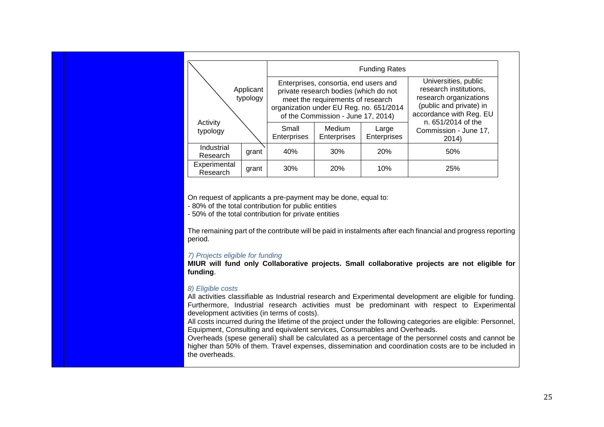|                          |                       |                      |                                                                                                                                                                                                      | <b>Funding Rates</b>        |                                                                                                                                                      |
|--------------------------|-----------------------|----------------------|------------------------------------------------------------------------------------------------------------------------------------------------------------------------------------------------------|-----------------------------|------------------------------------------------------------------------------------------------------------------------------------------------------|
|                          | Applicant<br>typology |                      | Enterprises, consortia, end users and<br>private research bodies (which do not<br>meet the requirements of research<br>organization under EU Reg. no. 651/2014<br>of the Commission - June 17, 2014) |                             | Universities, public<br>research institutions,<br>research organizations<br>(public and private) in<br>accordance with Reg. EU<br>n. 651/2014 of the |
| Activity<br>typology     |                       | Small<br>Enterprises | <b>Medium</b><br><b>Enterprises</b>                                                                                                                                                                  | Large<br><b>Enterprises</b> | Commission - June 17,<br>2014)                                                                                                                       |
| Industrial<br>Research   | grant                 | 40%                  | 30%                                                                                                                                                                                                  | <b>20%</b>                  | 50%                                                                                                                                                  |
| Experimental<br>Research | grant                 | 30%                  | <b>20%</b>                                                                                                                                                                                           | 10%                         | 25%                                                                                                                                                  |

On request of applicants a pre-payment may be done, equal to:

- 80% of the total contribution for public entities

- 50% of the total contribution for private entities

The remaining part of the contribute will be paid in instalments after each financial and progress reporting period.

#### *7) Projects eligible for funding*

**MIUR will fund only Collaborative projects. Small collaborative projects are not eligible for funding**.

#### *8) Eligible costs*

All activities classifiable as Industrial research and Experimental development are eligible for funding. Furthermore, Industrial research activities must be predominant with respect to Experimental development activities (in terms of costs).

All costs incurred during the lifetime of the project under the following categories are eligible: Personnel, Equipment, Consulting and equivalent services, Consumables and Overheads.

Overheads (spese generali) shall be calculated as a percentage of the personnel costs and cannot be higher than 50% of them. Travel expenses, dissemination and coordination costs are to be included in the overheads.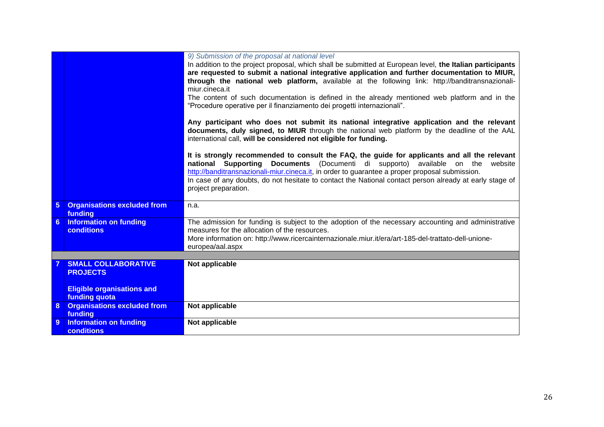|                 |                                                                                                     | 9) Submission of the proposal at national level<br>In addition to the project proposal, which shall be submitted at European level, the Italian participants<br>are requested to submit a national integrative application and further documentation to MIUR,<br>through the national web platform, available at the following link: http://banditransnazionali-<br>miur.cineca.it<br>The content of such documentation is defined in the already mentioned web platform and in the<br>"Procedure operative per il finanziamento dei progetti internazionali".<br>Any participant who does not submit its national integrative application and the relevant |
|-----------------|-----------------------------------------------------------------------------------------------------|-------------------------------------------------------------------------------------------------------------------------------------------------------------------------------------------------------------------------------------------------------------------------------------------------------------------------------------------------------------------------------------------------------------------------------------------------------------------------------------------------------------------------------------------------------------------------------------------------------------------------------------------------------------|
|                 |                                                                                                     | documents, duly signed, to MIUR through the national web platform by the deadline of the AAL<br>international call, will be considered not eligible for funding.                                                                                                                                                                                                                                                                                                                                                                                                                                                                                            |
|                 |                                                                                                     | It is strongly recommended to consult the FAQ, the guide for applicants and all the relevant<br>national Supporting Documents (Documenti di supporto) available on the<br>website<br>http://banditransnazionali-miur.cineca.it, in order to guarantee a proper proposal submission.<br>In case of any doubts, do not hesitate to contact the National contact person already at early stage of<br>project preparation.                                                                                                                                                                                                                                      |
| $5\phantom{.0}$ | <b>Organisations excluded from</b><br>funding                                                       | n.a.                                                                                                                                                                                                                                                                                                                                                                                                                                                                                                                                                                                                                                                        |
| 6               | <b>Information on funding</b><br><b>conditions</b>                                                  | The admission for funding is subject to the adoption of the necessary accounting and administrative<br>measures for the allocation of the resources.<br>More information on: http://www.ricercainternazionale.miur.it/era/art-185-del-trattato-dell-unione-<br>europea/aal.aspx                                                                                                                                                                                                                                                                                                                                                                             |
|                 |                                                                                                     |                                                                                                                                                                                                                                                                                                                                                                                                                                                                                                                                                                                                                                                             |
|                 | <b>SMALL COLLABORATIVE</b><br><b>PROJECTS</b><br><b>Eligible organisations and</b><br>funding quota | Not applicable                                                                                                                                                                                                                                                                                                                                                                                                                                                                                                                                                                                                                                              |
| 8               | <b>Organisations excluded from</b><br>funding                                                       | Not applicable                                                                                                                                                                                                                                                                                                                                                                                                                                                                                                                                                                                                                                              |
| 9               | <b>Information on funding</b><br><b>conditions</b>                                                  | Not applicable                                                                                                                                                                                                                                                                                                                                                                                                                                                                                                                                                                                                                                              |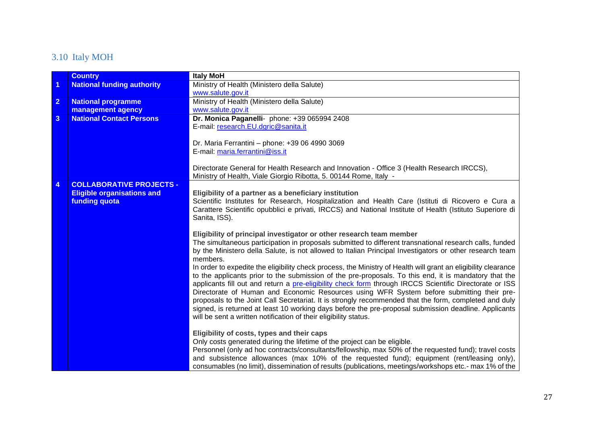# 3.10 Italy MOH

<span id="page-26-0"></span>

|                         | <b>Country</b>                    | <b>Italy MoH</b>                                                                                               |
|-------------------------|-----------------------------------|----------------------------------------------------------------------------------------------------------------|
| $\overline{1}$          | <b>National funding authority</b> | Ministry of Health (Ministero della Salute)                                                                    |
|                         |                                   | www.salute.gov.it                                                                                              |
| $\overline{2}$          | <b>National programme</b>         | Ministry of Health (Ministero della Salute)                                                                    |
|                         | management agency                 | www.salute.gov.it                                                                                              |
| $\overline{\mathbf{3}}$ | <b>National Contact Persons</b>   | Dr. Monica Paganelli- phone: +39 065994 2408                                                                   |
|                         |                                   | E-mail: research.EU.dgric@sanita.it                                                                            |
|                         |                                   |                                                                                                                |
|                         |                                   | Dr. Maria Ferrantini - phone: +39 06 4990 3069                                                                 |
|                         |                                   | E-mail: maria.ferrantini@iss.it                                                                                |
|                         |                                   |                                                                                                                |
|                         |                                   | Directorate General for Health Research and Innovation - Office 3 (Health Research IRCCS),                     |
|                         |                                   | Ministry of Health, Viale Giorgio Ribotta, 5. 00144 Rome, Italy -                                              |
| $\overline{4}$          | <b>COLLABORATIVE PROJECTS -</b>   |                                                                                                                |
|                         | <b>Eligible organisations and</b> | Eligibility of a partner as a beneficiary institution                                                          |
|                         | funding quota                     | Scientific Institutes for Research, Hospitalization and Health Care (Istituti di Ricovero e Cura a             |
|                         |                                   | Carattere Scientific opubblici e privati, IRCCS) and National Institute of Health (Istituto Superiore di       |
|                         |                                   | Sanita, ISS).                                                                                                  |
|                         |                                   | Eligibility of principal investigator or other research team member                                            |
|                         |                                   | The simultaneous participation in proposals submitted to different transnational research calls, funded        |
|                         |                                   | by the Ministero della Salute, is not allowed to Italian Principal Investigators or other research team        |
|                         |                                   | members.                                                                                                       |
|                         |                                   | In order to expedite the eligibility check process, the Ministry of Health will grant an eligibility clearance |
|                         |                                   | to the applicants prior to the submission of the pre-proposals. To this end, it is mandatory that the          |
|                         |                                   | applicants fill out and return a pre-eligibility check form through IRCCS Scientific Directorate or ISS        |
|                         |                                   | Directorate of Human and Economic Resources using WFR System before submitting their pre-                      |
|                         |                                   | proposals to the Joint Call Secretariat. It is strongly recommended that the form, completed and duly          |
|                         |                                   | signed, is returned at least 10 working days before the pre-proposal submission deadline. Applicants           |
|                         |                                   | will be sent a written notification of their eligibility status.                                               |
|                         |                                   |                                                                                                                |
|                         |                                   | Eligibility of costs, types and their caps                                                                     |
|                         |                                   | Only costs generated during the lifetime of the project can be eligible.                                       |
|                         |                                   | Personnel (only ad hoc contracts/consultants/fellowship, max 50% of the requested fund); travel costs          |
|                         |                                   | and subsistence allowances (max 10% of the requested fund); equipment (rent/leasing only),                     |
|                         |                                   | consumables (no limit), dissemination of results (publications, meetings/workshops etc.- max 1% of the         |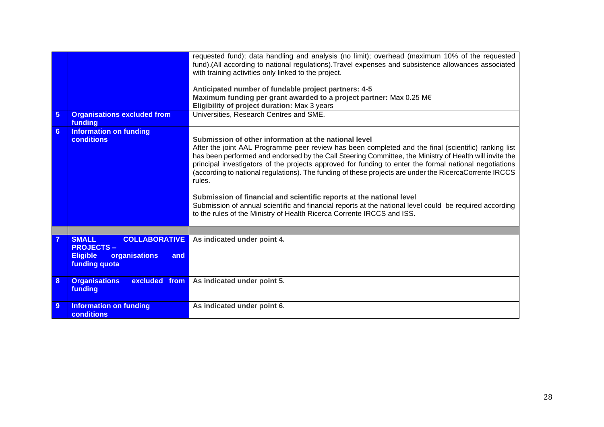|                |                                                                                                                      | requested fund); data handling and analysis (no limit); overhead (maximum 10% of the requested<br>fund).(All according to national regulations). Travel expenses and subsistence allowances associated<br>with training activities only linked to the project.<br>Anticipated number of fundable project partners: 4-5<br>Maximum funding per grant awarded to a project partner: Max 0.25 M€<br>Eligibility of project duration: Max 3 years                                                                                                                                                                                                                                                                                                                      |
|----------------|----------------------------------------------------------------------------------------------------------------------|--------------------------------------------------------------------------------------------------------------------------------------------------------------------------------------------------------------------------------------------------------------------------------------------------------------------------------------------------------------------------------------------------------------------------------------------------------------------------------------------------------------------------------------------------------------------------------------------------------------------------------------------------------------------------------------------------------------------------------------------------------------------|
| $\overline{5}$ | <b>Organisations excluded from</b><br>funding                                                                        | Universities, Research Centres and SME.                                                                                                                                                                                                                                                                                                                                                                                                                                                                                                                                                                                                                                                                                                                            |
| 6              | <b>Information on funding</b><br><b>conditions</b>                                                                   | Submission of other information at the national level<br>After the joint AAL Programme peer review has been completed and the final (scientific) ranking list<br>has been performed and endorsed by the Call Steering Committee, the Ministry of Health will invite the<br>principal investigators of the projects approved for funding to enter the formal national negotiations<br>(according to national regulations). The funding of these projects are under the RicercaCorrente IRCCS<br>rules.<br>Submission of financial and scientific reports at the national level<br>Submission of annual scientific and financial reports at the national level could be required according<br>to the rules of the Ministry of Health Ricerca Corrente IRCCS and ISS. |
|                |                                                                                                                      |                                                                                                                                                                                                                                                                                                                                                                                                                                                                                                                                                                                                                                                                                                                                                                    |
|                | <b>SMALL</b><br><b>COLLABORATIVE</b><br><b>PROJECTS-</b><br>organisations<br><b>Eligible</b><br>and<br>funding quota | As indicated under point 4.                                                                                                                                                                                                                                                                                                                                                                                                                                                                                                                                                                                                                                                                                                                                        |
| 8              | <b>Organisations</b><br>excluded from<br>funding                                                                     | As indicated under point 5.                                                                                                                                                                                                                                                                                                                                                                                                                                                                                                                                                                                                                                                                                                                                        |
| 9              | <b>Information on funding</b><br><b>conditions</b>                                                                   | As indicated under point 6.                                                                                                                                                                                                                                                                                                                                                                                                                                                                                                                                                                                                                                                                                                                                        |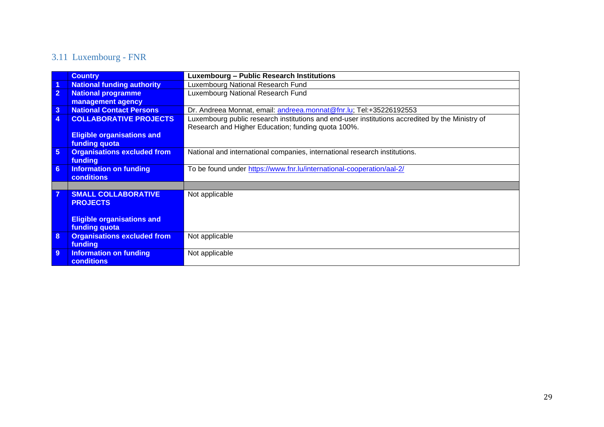# 3.11 Luxembourg - FNR

<span id="page-28-0"></span>

|                | <b>Country</b>                     | <b>Luxembourg - Public Research Institutions</b>                                                |
|----------------|------------------------------------|-------------------------------------------------------------------------------------------------|
|                | <b>National funding authority</b>  | Luxembourg National Research Fund                                                               |
| $\overline{2}$ | <b>National programme</b>          | Luxembourg National Research Fund                                                               |
|                | management agency                  |                                                                                                 |
| $\overline{3}$ | <b>National Contact Persons</b>    | Dr. Andreea Monnat, email: andreea.monnat@fnr.lu; Tel:+35226192553                              |
| 4              | <b>COLLABORATIVE PROJECTS</b>      | Luxembourg public research institutions and end-user institutions accredited by the Ministry of |
|                |                                    | Research and Higher Education; funding quota 100%.                                              |
|                | <b>Eligible organisations and</b>  |                                                                                                 |
|                | funding quota                      |                                                                                                 |
| $5\phantom{1}$ | <b>Organisations excluded from</b> | National and international companies, international research institutions.                      |
|                | <b>funding</b>                     |                                                                                                 |
| $6\phantom{a}$ | <b>Information on funding</b>      | To be found under https://www.fnr.lu/international-cooperation/aal-2/                           |
|                | <b>conditions</b>                  |                                                                                                 |
|                |                                    |                                                                                                 |
| 7              | <b>SMALL COLLABORATIVE</b>         | Not applicable                                                                                  |
|                | <b>PROJECTS</b>                    |                                                                                                 |
|                |                                    |                                                                                                 |
|                | <b>Eligible organisations and</b>  |                                                                                                 |
|                | funding quota                      |                                                                                                 |
| 8              | <b>Organisations excluded from</b> | Not applicable                                                                                  |
|                | <b>funding</b>                     |                                                                                                 |
| 9              | <b>Information on funding</b>      | Not applicable                                                                                  |
|                | <b>conditions</b>                  |                                                                                                 |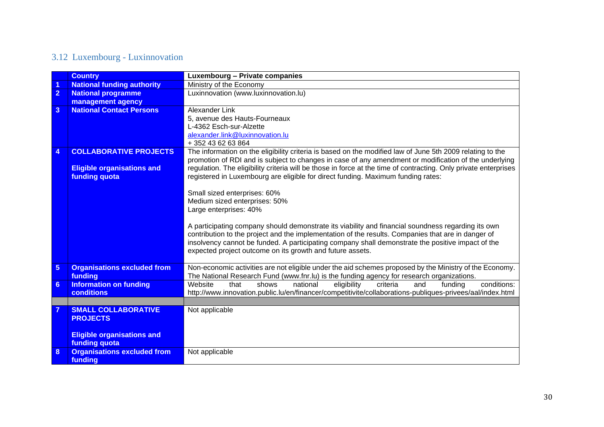# 3.12 Luxembourg - Luxinnovation

<span id="page-29-0"></span>

|                  | <b>Country</b>                     | Luxembourg - Private companies                                                                                   |  |  |  |  |  |
|------------------|------------------------------------|------------------------------------------------------------------------------------------------------------------|--|--|--|--|--|
| 1                | <b>National funding authority</b>  | Ministry of the Economy                                                                                          |  |  |  |  |  |
| $\overline{2}$   | <b>National programme</b>          | Luxinnovation (www.luxinnovation.lu)                                                                             |  |  |  |  |  |
|                  | management agency                  |                                                                                                                  |  |  |  |  |  |
| $\overline{3}$   | <b>National Contact Persons</b>    | <b>Alexander Link</b>                                                                                            |  |  |  |  |  |
|                  |                                    | 5, avenue des Hauts-Fourneaux                                                                                    |  |  |  |  |  |
|                  |                                    | L-4362 Esch-sur-Alzette                                                                                          |  |  |  |  |  |
|                  |                                    | alexander.link@luxinnovation.lu                                                                                  |  |  |  |  |  |
|                  |                                    | +352 43 62 63 864                                                                                                |  |  |  |  |  |
| $\boldsymbol{4}$ | <b>COLLABORATIVE PROJECTS</b>      | The information on the eligibility criteria is based on the modified law of June 5th 2009 relating to the        |  |  |  |  |  |
|                  |                                    | promotion of RDI and is subject to changes in case of any amendment or modification of the underlying            |  |  |  |  |  |
|                  | <b>Eligible organisations and</b>  | regulation. The eligibility criteria will be those in force at the time of contracting. Only private enterprises |  |  |  |  |  |
|                  | funding quota                      | registered in Luxembourg are eligible for direct funding. Maximum funding rates:                                 |  |  |  |  |  |
|                  |                                    |                                                                                                                  |  |  |  |  |  |
|                  |                                    | Small sized enterprises: 60%<br>Medium sized enterprises: 50%                                                    |  |  |  |  |  |
|                  |                                    |                                                                                                                  |  |  |  |  |  |
|                  |                                    | Large enterprises: 40%                                                                                           |  |  |  |  |  |
|                  |                                    | A participating company should demonstrate its viability and financial soundness regarding its own               |  |  |  |  |  |
|                  |                                    | contribution to the project and the implementation of the results. Companies that are in danger of               |  |  |  |  |  |
|                  |                                    | insolvency cannot be funded. A participating company shall demonstrate the positive impact of the                |  |  |  |  |  |
|                  |                                    | expected project outcome on its growth and future assets.                                                        |  |  |  |  |  |
|                  |                                    |                                                                                                                  |  |  |  |  |  |
| $5\phantom{1}$   | <b>Organisations excluded from</b> | Non-economic activities are not eligible under the aid schemes proposed by the Ministry of the Economy.          |  |  |  |  |  |
|                  | funding                            | The National Research Fund (www.fnr.lu) is the funding agency for research organizations.                        |  |  |  |  |  |
| 6                | <b>Information on funding</b>      | conditions:<br>Website<br>that<br>shows<br>eligibility<br>criteria<br>funding<br>national<br>and                 |  |  |  |  |  |
|                  | conditions                         | http://www.innovation.public.lu/en/financer/competitivite/collaborations-publiques-privees/aal/index.html        |  |  |  |  |  |
|                  |                                    |                                                                                                                  |  |  |  |  |  |
|                  | <b>SMALL COLLABORATIVE</b>         | Not applicable                                                                                                   |  |  |  |  |  |
|                  | <b>PROJECTS</b>                    |                                                                                                                  |  |  |  |  |  |
|                  |                                    |                                                                                                                  |  |  |  |  |  |
|                  | <b>Eligible organisations and</b>  |                                                                                                                  |  |  |  |  |  |
|                  | funding quota                      |                                                                                                                  |  |  |  |  |  |
| 8                | <b>Organisations excluded from</b> | Not applicable                                                                                                   |  |  |  |  |  |
|                  | funding                            |                                                                                                                  |  |  |  |  |  |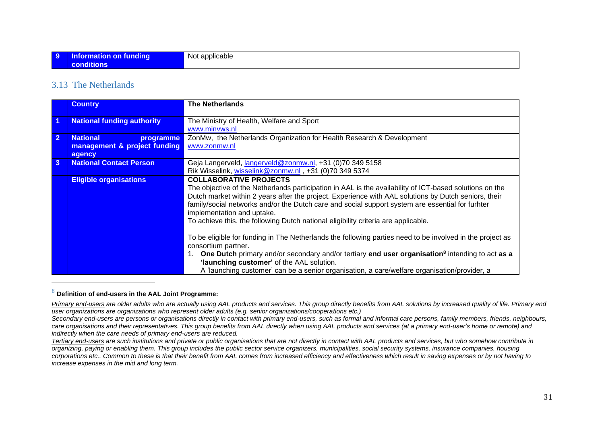#### 3.13 The Netherlands

|                | <b>Country</b>                    | <b>The Netherlands</b>                                                                                                                                                                                                                                                                                              |
|----------------|-----------------------------------|---------------------------------------------------------------------------------------------------------------------------------------------------------------------------------------------------------------------------------------------------------------------------------------------------------------------|
| -1             | <b>National funding authority</b> | The Ministry of Health, Welfare and Sport                                                                                                                                                                                                                                                                           |
|                |                                   | www.minvws.nl                                                                                                                                                                                                                                                                                                       |
| $\overline{2}$ | <b>National</b><br>programme      | ZonMw, the Netherlands Organization for Health Research & Development                                                                                                                                                                                                                                               |
|                | management & project funding      | www.zonmw.nl                                                                                                                                                                                                                                                                                                        |
|                | agency                            |                                                                                                                                                                                                                                                                                                                     |
| $\mathbf{3}$   | <b>National Contact Person</b>    | Geja Langerveld, langerveld@zonmw.nl, +31 (0)70 349 5158                                                                                                                                                                                                                                                            |
|                |                                   | Rik Wisselink, wisselink@zonmw.nl, +31 (0)70 349 5374                                                                                                                                                                                                                                                               |
|                | <b>Eligible organisations</b>     | <b>COLLABORATIVE PROJECTS</b>                                                                                                                                                                                                                                                                                       |
|                |                                   | The objective of the Netherlands participation in AAL is the availability of ICT-based solutions on the<br>Dutch market within 2 years after the project. Experience with AAL solutions by Dutch seniors, their<br>family/social networks and/or the Dutch care and social support system are essential for furhter |
|                |                                   | implementation and uptake.<br>To achieve this, the following Dutch national eligibility criteria are applicable.                                                                                                                                                                                                    |
|                |                                   |                                                                                                                                                                                                                                                                                                                     |
|                |                                   | To be eligible for funding in The Netherlands the following parties need to be involved in the project as<br>consortium partner.                                                                                                                                                                                    |
|                |                                   | One Dutch primary and/or secondary and/or tertiary end user organisation <sup>8</sup> intending to act as a<br>'launching customer' of the AAL solution.<br>A 'launching customer' can be a senior organisation, a care/welfare organisation/provider, a                                                            |
|                |                                   |                                                                                                                                                                                                                                                                                                                     |

#### <span id="page-30-0"></span><sup>8</sup> **Definition of end-users in the AAL Joint Programme:**

*Primary end-users are older adults who are actually using AAL products and services. This group directly benefits from AAL solutions by increased quality of life. Primary end user organizations are organizations who represent older adults (e.g. senior organizations/cooperations etc.)*

*Secondary end-users are persons or organisations directly in contact with primary end-users, such as formal and informal care persons, family members, friends, neighbours, care organisations and their representatives. This group benefits from AAL directly when using AAL products and services (at a primary end-user's home or remote) and indirectly when the care needs of primary end-users are reduced.*

*Tertiary end-users are such institutions and private or public organisations that are not directly in contact with AAL products and services, but who somehow contribute in organizing, paying or enabling them. This group includes the public sector service organizers, municipalities, social security systems, insurance companies, housing corporations etc.. Common to these is that their benefit from AAL comes from increased efficiency and effectiveness which result in saving expenses or by not having to increase expenses in the mid and long term.*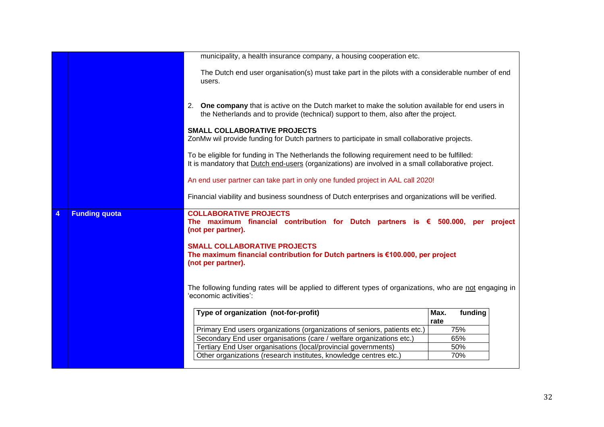|   |                      | municipality, a health insurance company, a housing cooperation etc.                                                                                                                                 |              |         |         |
|---|----------------------|------------------------------------------------------------------------------------------------------------------------------------------------------------------------------------------------------|--------------|---------|---------|
|   |                      |                                                                                                                                                                                                      |              |         |         |
|   |                      | The Dutch end user organisation(s) must take part in the pilots with a considerable number of end<br>users.                                                                                          |              |         |         |
|   |                      | 2.<br>One company that is active on the Dutch market to make the solution available for end users in<br>the Netherlands and to provide (technical) support to them, also after the project.          |              |         |         |
|   |                      | <b>SMALL COLLABORATIVE PROJECTS</b><br>ZonMw wil provide funding for Dutch partners to participate in small collaborative projects.                                                                  |              |         |         |
|   |                      | To be eligible for funding in The Netherlands the following requirement need to be fulfilled:<br>It is mandatory that Dutch end-users (organizations) are involved in a small collaborative project. |              |         |         |
|   |                      | An end user partner can take part in only one funded project in AAL call 2020!                                                                                                                       |              |         |         |
|   |                      | Financial viability and business soundness of Dutch enterprises and organizations will be verified.                                                                                                  |              |         |         |
| 4 | <b>Funding quota</b> | <b>COLLABORATIVE PROJECTS</b><br>The maximum financial contribution for Dutch partners is $\epsilon$ 500.000,<br>(not per partner).                                                                  |              | per     | project |
|   |                      | <b>SMALL COLLABORATIVE PROJECTS</b><br>The maximum financial contribution for Dutch partners is €100.000, per project<br>(not per partner).                                                          |              |         |         |
|   |                      | The following funding rates will be applied to different types of organizations, who are not engaging in<br>'economic activities':                                                                   |              |         |         |
|   |                      | Type of organization (not-for-profit)                                                                                                                                                                | Max.<br>rate | funding |         |
|   |                      | Primary End users organizations (organizations of seniors, patients etc.)                                                                                                                            |              | 75%     |         |
|   |                      | Secondary End user organisations (care / welfare organizations etc.)                                                                                                                                 |              | 65%     |         |
|   |                      | Tertiary End User organisations (local/provincial governments)                                                                                                                                       |              | 50%     |         |
|   |                      | Other organizations (research institutes, knowledge centres etc.)                                                                                                                                    |              | 70%     |         |
|   |                      |                                                                                                                                                                                                      |              |         |         |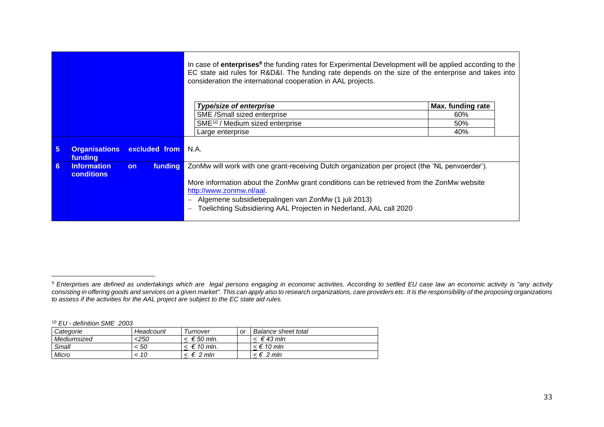|                |                                 |           |                    | In case of <b>enterprises<sup>9</sup></b> the funding rates for Experimental Development will be applied according to the<br>EC state aid rules for R&D&I. The funding rate depends on the size of the enterprise and takes into<br>consideration the international cooperation in AAL projects. |                   |  |
|----------------|---------------------------------|-----------|--------------------|--------------------------------------------------------------------------------------------------------------------------------------------------------------------------------------------------------------------------------------------------------------------------------------------------|-------------------|--|
|                |                                 |           |                    | Type/size of enterprise                                                                                                                                                                                                                                                                          | Max. funding rate |  |
|                |                                 |           |                    | SME /Small sized enterprise                                                                                                                                                                                                                                                                      | 60%               |  |
|                |                                 |           |                    | SME <sup>10</sup> / Medium sized enterprise                                                                                                                                                                                                                                                      | 50%               |  |
|                |                                 |           |                    | Large enterprise                                                                                                                                                                                                                                                                                 | 40%               |  |
| $5\phantom{1}$ | <b>Organisations</b><br>funding |           | excluded from N.A. |                                                                                                                                                                                                                                                                                                  |                   |  |
| 6 <sup>5</sup> | <b>Information</b>              | <b>on</b> | <b>funding</b>     | ZonMw will work with one grant-receiving Dutch organization per project (the 'NL penvoerder').                                                                                                                                                                                                   |                   |  |
|                | <b>conditions</b>               |           |                    | More information about the ZonMw grant conditions can be retrieved from the ZonMw website<br>http://www.zonmw.nl/aal.<br>Algemene subsidiebepalingen van ZonMw (1 juli 2013)<br>Toelichting Subsidiering AAL Projecten in Nederland, AAL call 2020                                               |                   |  |

<sup>10</sup> *EU - definition SME 2003*

| Categorie   | Headcount | Turnover   | or | Balance sheet total |
|-------------|-----------|------------|----|---------------------|
| Mediumsized | <250      | € 50 mln.  |    | $∈ 43$ mln          |
| Small       | < 50      | € 10 mln.  |    | < € 10 mln          |
| Micro       | 10        | 2 mln<br>€ |    | <€ 2 mln            |

<sup>9</sup> *Enterprises are defined as undertakings which are legal persons engaging in economic activities. According to settled EU case law an economic activity is "any activity consisting in offering goods and services on a given market". This can apply also to research organizations, care providers etc. It is the responsibility of the proposing organizations to assess if the activities for the AAL project are subject to the EC state aid rules.*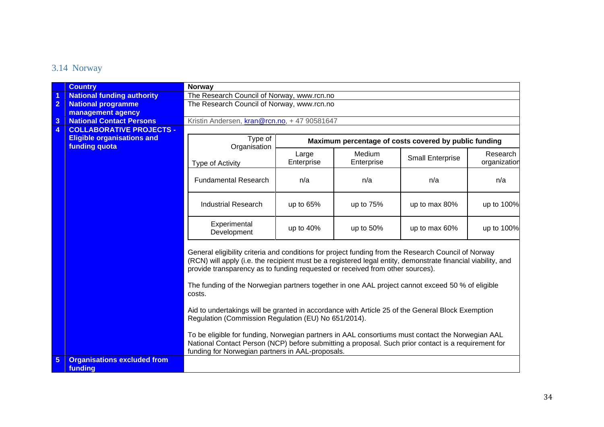### 3.14 Norway

<span id="page-33-0"></span>

|                 | <b>Country</b>                                     | <b>Norway</b>                                                                                                                                                                                                                                                                                        |                     |                      |                         |                          |  |  |
|-----------------|----------------------------------------------------|------------------------------------------------------------------------------------------------------------------------------------------------------------------------------------------------------------------------------------------------------------------------------------------------------|---------------------|----------------------|-------------------------|--------------------------|--|--|
|                 | <b>National funding authority</b>                  | The Research Council of Norway, www.rcn.no                                                                                                                                                                                                                                                           |                     |                      |                         |                          |  |  |
| $\overline{2}$  | <b>National programme</b>                          | The Research Council of Norway, www.rcn.no                                                                                                                                                                                                                                                           |                     |                      |                         |                          |  |  |
|                 | management agency                                  |                                                                                                                                                                                                                                                                                                      |                     |                      |                         |                          |  |  |
| $\overline{3}$  | <b>National Contact Persons</b>                    | Kristin Andersen, kran@rcn.no, +47 90581647                                                                                                                                                                                                                                                          |                     |                      |                         |                          |  |  |
| $\overline{4}$  | <b>COLLABORATIVE PROJECTS -</b>                    |                                                                                                                                                                                                                                                                                                      |                     |                      |                         |                          |  |  |
|                 | <b>Eligible organisations and</b><br>funding quota | Type of<br>Maximum percentage of costs covered by public funding<br>Organisation                                                                                                                                                                                                                     |                     |                      |                         |                          |  |  |
|                 |                                                    | Type of Activity                                                                                                                                                                                                                                                                                     | Large<br>Enterprise | Medium<br>Enterprise | <b>Small Enterprise</b> | Research<br>organization |  |  |
|                 |                                                    | <b>Fundamental Research</b>                                                                                                                                                                                                                                                                          | n/a                 | n/a                  | n/a                     | n/a                      |  |  |
|                 |                                                    | <b>Industrial Research</b>                                                                                                                                                                                                                                                                           | up to 65%           | up to 75%            | up to max 80%           | up to 100%               |  |  |
|                 |                                                    | Experimental<br>Development                                                                                                                                                                                                                                                                          | up to 40%           | up to 50%            | up to max 60%           | up to 100%               |  |  |
|                 |                                                    | General eligibility criteria and conditions for project funding from the Research Council of Norway<br>(RCN) will apply (i.e. the recipient must be a registered legal entity, demonstrate financial viability, and<br>provide transparency as to funding requested or received from other sources). |                     |                      |                         |                          |  |  |
|                 |                                                    | The funding of the Norwegian partners together in one AAL project cannot exceed 50 % of eligible<br>costs.                                                                                                                                                                                           |                     |                      |                         |                          |  |  |
|                 |                                                    | Aid to undertakings will be granted in accordance with Article 25 of the General Block Exemption<br>Regulation (Commission Regulation (EU) No 651/2014).                                                                                                                                             |                     |                      |                         |                          |  |  |
|                 |                                                    | To be eligible for funding, Norwegian partners in AAL consortiums must contact the Norwegian AAL<br>National Contact Person (NCP) before submitting a proposal. Such prior contact is a requirement for<br>funding for Norwegian partners in AAL-proposals.                                          |                     |                      |                         |                          |  |  |
| $5\phantom{.0}$ | <b>Organisations excluded from</b><br>funding      |                                                                                                                                                                                                                                                                                                      |                     |                      |                         |                          |  |  |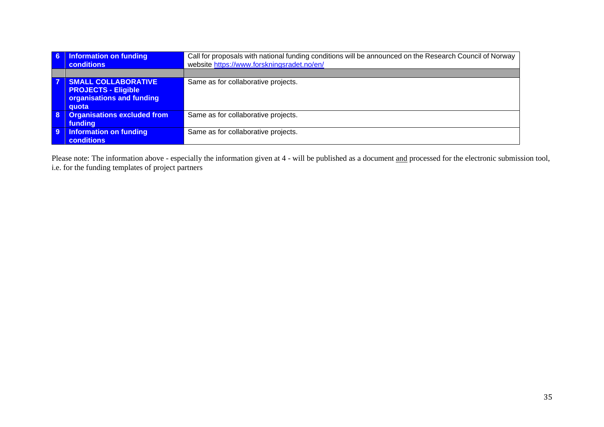| 6 | <b>Information on funding</b><br>conditions                                                    | Call for proposals with national funding conditions will be announced on the Research Council of Norway<br>website https://www.forskningsradet.no/en/ |
|---|------------------------------------------------------------------------------------------------|-------------------------------------------------------------------------------------------------------------------------------------------------------|
|   |                                                                                                |                                                                                                                                                       |
| 7 | <b>SMALL COLLABORATIVE</b><br><b>PROJECTS - Eligible</b><br>organisations and funding<br>quota | Same as for collaborative projects.                                                                                                                   |
| 8 | <b>Organisations excluded from</b><br>funding                                                  | Same as for collaborative projects.                                                                                                                   |
| 9 | <b>Information on funding</b><br><b>conditions</b>                                             | Same as for collaborative projects.                                                                                                                   |

Please note: The information above - especially the information given at 4 - will be published as a document and processed for the electronic submission tool, i.e. for the funding templates of project partners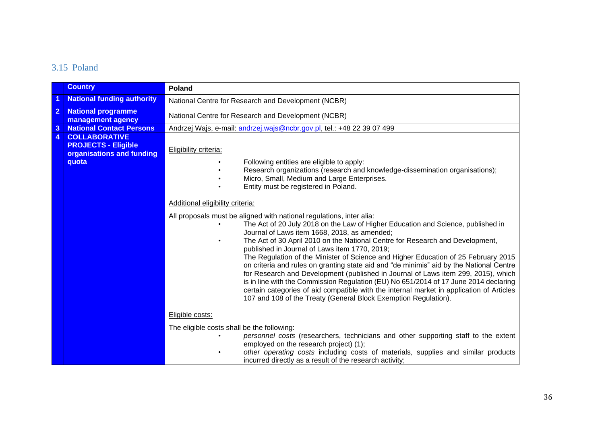### 3.15 Poland

<span id="page-35-0"></span>

|                | <b>Country</b>                                                                           | Poland                                                                                                                                                                                                                                                                                                                                                                                                                                                                                                                                                                                                                                                                                                                                                                                                                                                                  |  |  |  |  |
|----------------|------------------------------------------------------------------------------------------|-------------------------------------------------------------------------------------------------------------------------------------------------------------------------------------------------------------------------------------------------------------------------------------------------------------------------------------------------------------------------------------------------------------------------------------------------------------------------------------------------------------------------------------------------------------------------------------------------------------------------------------------------------------------------------------------------------------------------------------------------------------------------------------------------------------------------------------------------------------------------|--|--|--|--|
| 1              | <b>National funding authority</b>                                                        | National Centre for Research and Development (NCBR)                                                                                                                                                                                                                                                                                                                                                                                                                                                                                                                                                                                                                                                                                                                                                                                                                     |  |  |  |  |
| $\overline{2}$ | <b>National programme</b><br>management agency                                           | National Centre for Research and Development (NCBR)                                                                                                                                                                                                                                                                                                                                                                                                                                                                                                                                                                                                                                                                                                                                                                                                                     |  |  |  |  |
| $\mathbf{3}$   | <b>National Contact Persons</b>                                                          | Andrzej Wajs, e-mail: andrzej.wajs@ncbr.gov.pl, tel.: +48 22 39 07 499                                                                                                                                                                                                                                                                                                                                                                                                                                                                                                                                                                                                                                                                                                                                                                                                  |  |  |  |  |
| $\overline{4}$ | <b>COLLABORATIVE</b><br><b>PROJECTS - Eligible</b><br>organisations and funding<br>quota | Eligibility criteria:<br>Following entities are eligible to apply:<br>Research organizations (research and knowledge-dissemination organisations);<br>Micro, Small, Medium and Large Enterprises.<br>Entity must be registered in Poland.                                                                                                                                                                                                                                                                                                                                                                                                                                                                                                                                                                                                                               |  |  |  |  |
|                |                                                                                          |                                                                                                                                                                                                                                                                                                                                                                                                                                                                                                                                                                                                                                                                                                                                                                                                                                                                         |  |  |  |  |
|                |                                                                                          | Additional eligibility criteria:                                                                                                                                                                                                                                                                                                                                                                                                                                                                                                                                                                                                                                                                                                                                                                                                                                        |  |  |  |  |
|                |                                                                                          | All proposals must be aligned with national regulations, inter alia:<br>The Act of 20 July 2018 on the Law of Higher Education and Science, published in<br>Journal of Laws item 1668, 2018, as amended;<br>The Act of 30 April 2010 on the National Centre for Research and Development,<br>published in Journal of Laws item 1770, 2019;<br>The Regulation of the Minister of Science and Higher Education of 25 February 2015<br>on criteria and rules on granting state aid and "de minimis" aid by the National Centre<br>for Research and Development (published in Journal of Laws item 299, 2015), which<br>is in line with the Commission Regulation (EU) No 651/2014 of 17 June 2014 declaring<br>certain categories of aid compatible with the internal market in application of Articles<br>107 and 108 of the Treaty (General Block Exemption Regulation). |  |  |  |  |
|                |                                                                                          | Eligible costs:                                                                                                                                                                                                                                                                                                                                                                                                                                                                                                                                                                                                                                                                                                                                                                                                                                                         |  |  |  |  |
|                |                                                                                          | The eligible costs shall be the following:<br>personnel costs (researchers, technicians and other supporting staff to the extent<br>employed on the research project) (1);<br>other operating costs including costs of materials, supplies and similar products<br>incurred directly as a result of the research activity;                                                                                                                                                                                                                                                                                                                                                                                                                                                                                                                                              |  |  |  |  |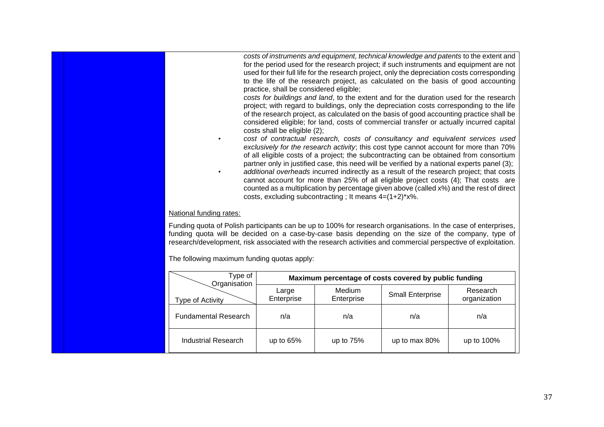|                                                                                                                                                                                                                                                                                                                                         | practice, shall be considered eligible;<br>costs shall be eligible (2); | costs, excluding subcontracting; It means $4=(1+2)*x$ %. | costs of instruments and equipment, technical knowledge and patents to the extent and<br>for the period used for the research project; if such instruments and equipment are not<br>used for their full life for the research project, only the depreciation costs corresponding<br>to the life of the research project, as calculated on the basis of good accounting<br>costs for buildings and land, to the extent and for the duration used for the research<br>project; with regard to buildings, only the depreciation costs corresponding to the life<br>of the research project, as calculated on the basis of good accounting practice shall be<br>considered eligible; for land, costs of commercial transfer or actually incurred capital<br>cost of contractual research, costs of consultancy and equivalent services used<br>exclusively for the research activity; this cost type cannot account for more than 70%<br>of all eligible costs of a project; the subcontracting can be obtained from consortium<br>partner only in justified case, this need will be verified by a national experts panel (3);<br>additional overheads incurred indirectly as a result of the research project; that costs<br>cannot account for more than 25% of all eligible project costs (4); That costs are<br>counted as a multiplication by percentage given above (called x%) and the rest of direct |                          |
|-----------------------------------------------------------------------------------------------------------------------------------------------------------------------------------------------------------------------------------------------------------------------------------------------------------------------------------------|-------------------------------------------------------------------------|----------------------------------------------------------|----------------------------------------------------------------------------------------------------------------------------------------------------------------------------------------------------------------------------------------------------------------------------------------------------------------------------------------------------------------------------------------------------------------------------------------------------------------------------------------------------------------------------------------------------------------------------------------------------------------------------------------------------------------------------------------------------------------------------------------------------------------------------------------------------------------------------------------------------------------------------------------------------------------------------------------------------------------------------------------------------------------------------------------------------------------------------------------------------------------------------------------------------------------------------------------------------------------------------------------------------------------------------------------------------------------------------------------------------------------------------------------------------------|--------------------------|
| National funding rates:                                                                                                                                                                                                                                                                                                                 |                                                                         |                                                          |                                                                                                                                                                                                                                                                                                                                                                                                                                                                                                                                                                                                                                                                                                                                                                                                                                                                                                                                                                                                                                                                                                                                                                                                                                                                                                                                                                                                          |                          |
| Funding quota of Polish participants can be up to 100% for research organisations. In the case of enterprises,<br>funding quota will be decided on a case-by-case basis depending on the size of the company, type of<br>research/development, risk associated with the research activities and commercial perspective of exploitation. |                                                                         |                                                          |                                                                                                                                                                                                                                                                                                                                                                                                                                                                                                                                                                                                                                                                                                                                                                                                                                                                                                                                                                                                                                                                                                                                                                                                                                                                                                                                                                                                          |                          |
| The following maximum funding quotas apply:                                                                                                                                                                                                                                                                                             |                                                                         |                                                          |                                                                                                                                                                                                                                                                                                                                                                                                                                                                                                                                                                                                                                                                                                                                                                                                                                                                                                                                                                                                                                                                                                                                                                                                                                                                                                                                                                                                          |                          |
| Type of<br>Organisation                                                                                                                                                                                                                                                                                                                 |                                                                         |                                                          | Maximum percentage of costs covered by public funding                                                                                                                                                                                                                                                                                                                                                                                                                                                                                                                                                                                                                                                                                                                                                                                                                                                                                                                                                                                                                                                                                                                                                                                                                                                                                                                                                    |                          |
| Type of Activity                                                                                                                                                                                                                                                                                                                        | Large<br>Enterprise                                                     | Medium<br>Enterprise                                     | <b>Small Enterprise</b>                                                                                                                                                                                                                                                                                                                                                                                                                                                                                                                                                                                                                                                                                                                                                                                                                                                                                                                                                                                                                                                                                                                                                                                                                                                                                                                                                                                  | Research<br>organization |
| <b>Fundamental Research</b>                                                                                                                                                                                                                                                                                                             | n/a                                                                     | n/a                                                      | n/a                                                                                                                                                                                                                                                                                                                                                                                                                                                                                                                                                                                                                                                                                                                                                                                                                                                                                                                                                                                                                                                                                                                                                                                                                                                                                                                                                                                                      | n/a                      |
| <b>Industrial Research</b>                                                                                                                                                                                                                                                                                                              | up to 65%                                                               | up to 75%                                                | up to max 80%                                                                                                                                                                                                                                                                                                                                                                                                                                                                                                                                                                                                                                                                                                                                                                                                                                                                                                                                                                                                                                                                                                                                                                                                                                                                                                                                                                                            | up to 100%               |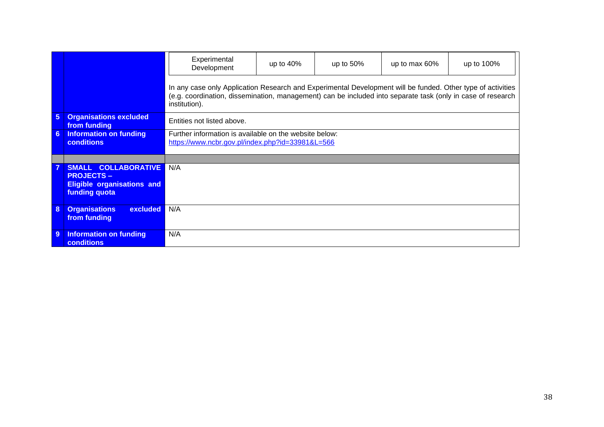|                 |                                                                                                | Experimental<br>Development                                                                                                                                                                                                                 | up to $40\%$ | up to $50\%$ | up to max 60% | up to 100% |
|-----------------|------------------------------------------------------------------------------------------------|---------------------------------------------------------------------------------------------------------------------------------------------------------------------------------------------------------------------------------------------|--------------|--------------|---------------|------------|
|                 |                                                                                                | In any case only Application Research and Experimental Development will be funded. Other type of activities<br>(e.g. coordination, dissemination, management) can be included into separate task (only in case of research<br>institution). |              |              |               |            |
| $5\phantom{.0}$ | <b>Organisations excluded</b><br>from funding                                                  | Entities not listed above.                                                                                                                                                                                                                  |              |              |               |            |
| 6               | <b>Information on funding</b><br><b>conditions</b>                                             | Further information is available on the website below:<br>https://www.ncbr.gov.pl/index.php?id=33981&L=566                                                                                                                                  |              |              |               |            |
|                 |                                                                                                |                                                                                                                                                                                                                                             |              |              |               |            |
|                 | SMALL COLLABORATIVE<br><b>PROJECTS -</b><br><b>Eligible organisations and</b><br>funding quota | N/A                                                                                                                                                                                                                                         |              |              |               |            |
| 8               | <b>Organisations</b><br><b>excluded</b><br>from funding                                        | N/A                                                                                                                                                                                                                                         |              |              |               |            |
| 9               | <b>Information on funding</b><br><b>conditions</b>                                             | N/A                                                                                                                                                                                                                                         |              |              |               |            |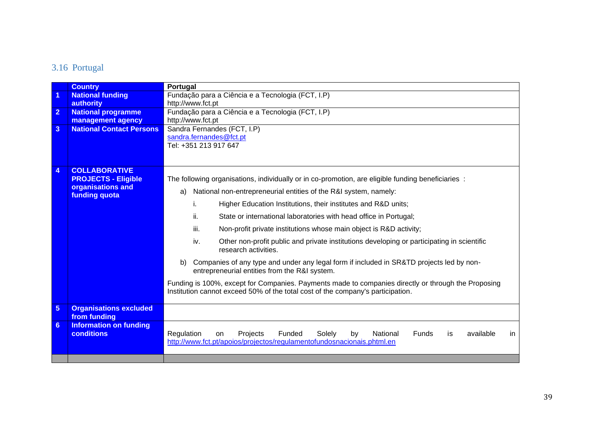# 3.16 Portugal

<span id="page-38-0"></span>

|                 | <b>Country</b>                                     | Portugal                                                                                                                                                                               |  |  |  |  |  |
|-----------------|----------------------------------------------------|----------------------------------------------------------------------------------------------------------------------------------------------------------------------------------------|--|--|--|--|--|
| 1               | <b>National funding</b>                            | Fundação para a Ciência e a Tecnologia (FCT, I.P)                                                                                                                                      |  |  |  |  |  |
|                 | authority                                          | http://www.fct.pt                                                                                                                                                                      |  |  |  |  |  |
| $\overline{2}$  | <b>National programme</b>                          | Fundação para a Ciência e a Tecnologia (FCT, I.P)                                                                                                                                      |  |  |  |  |  |
|                 | management agency                                  | http://www.fct.pt                                                                                                                                                                      |  |  |  |  |  |
| 3               | <b>National Contact Persons</b>                    | Sandra Fernandes (FCT, I.P)                                                                                                                                                            |  |  |  |  |  |
|                 |                                                    | sandra.fernandes@fct.pt<br>Tel: +351 213 917 647                                                                                                                                       |  |  |  |  |  |
|                 |                                                    |                                                                                                                                                                                        |  |  |  |  |  |
|                 |                                                    |                                                                                                                                                                                        |  |  |  |  |  |
| 4               | <b>COLLABORATIVE</b>                               |                                                                                                                                                                                        |  |  |  |  |  |
|                 | <b>PROJECTS - Eligible</b>                         | The following organisations, individually or in co-promotion, are eligible funding beneficiaries :                                                                                     |  |  |  |  |  |
|                 | organisations and<br>funding quota                 | National non-entrepreneurial entities of the R&I system, namely:<br>a)                                                                                                                 |  |  |  |  |  |
|                 |                                                    | Higher Education Institutions, their institutes and R&D units;<br>i.                                                                                                                   |  |  |  |  |  |
|                 |                                                    | ii.<br>State or international laboratories with head office in Portugal;                                                                                                               |  |  |  |  |  |
|                 |                                                    | iii.<br>Non-profit private institutions whose main object is R&D activity;                                                                                                             |  |  |  |  |  |
|                 |                                                    | Other non-profit public and private institutions developing or participating in scientific<br>iv.<br>research activities.                                                              |  |  |  |  |  |
|                 |                                                    | Companies of any type and under any legal form if included in SR&TD projects led by non-<br>b)<br>entrepreneurial entities from the R&I system.                                        |  |  |  |  |  |
|                 |                                                    | Funding is 100%, except for Companies. Payments made to companies directly or through the Proposing<br>Institution cannot exceed 50% of the total cost of the company's participation. |  |  |  |  |  |
| $\overline{5}$  | <b>Organisations excluded</b><br>from funding      |                                                                                                                                                                                        |  |  |  |  |  |
| $6\phantom{1}6$ | <b>Information on funding</b><br><b>conditions</b> | Regulation<br>Projects<br>Funded<br>Solely<br>National<br>available<br>by<br>Funds<br>in.<br>on<br>is<br>http://www.fct.pt/apoios/projectos/regulamentofundosnacionais.phtml.en        |  |  |  |  |  |
|                 |                                                    |                                                                                                                                                                                        |  |  |  |  |  |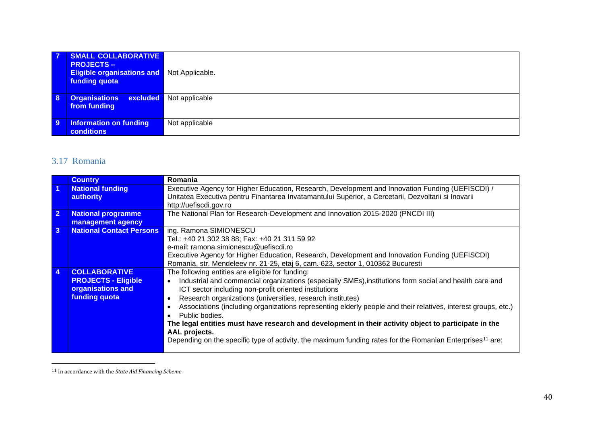| $\overline{7}$ | SMALL COLLABORATIVE<br><b>PROJECTS –</b><br><b>Eligible organisations and Not Applicable.</b><br>funding quota |                                |
|----------------|----------------------------------------------------------------------------------------------------------------|--------------------------------|
| 8              | <b>Organisations</b><br>from funding                                                                           | <b>excluded</b> Not applicable |
| 9              | <b>Information on funding</b><br>conditions                                                                    | Not applicable                 |

### 3.17 Romania

|                | <b>Country</b>                  | Romania                                                                                                               |
|----------------|---------------------------------|-----------------------------------------------------------------------------------------------------------------------|
| $\overline{1}$ | <b>National funding</b>         | Executive Agency for Higher Education, Research, Development and Innovation Funding (UEFISCDI) /                      |
|                | authority                       | Unitatea Executiva pentru Finantarea Invatamantului Superior, a Cercetarii, Dezvoltarii si Inovarii                   |
|                |                                 | http://uefiscdi.gov.ro                                                                                                |
| $\overline{2}$ | <b>National programme</b>       | The National Plan for Research-Development and Innovation 2015-2020 (PNCDI III)                                       |
|                | management agency               |                                                                                                                       |
| $\mathbf{3}$   | <b>National Contact Persons</b> | ing. Ramona SIMIONESCU                                                                                                |
|                |                                 | Tel.: +40 21 302 38 88; Fax: +40 21 311 59 92                                                                         |
|                |                                 | e-mail: ramona.simionescu@uefiscdi.ro                                                                                 |
|                |                                 | Executive Agency for Higher Education, Research, Development and Innovation Funding (UEFISCDI)                        |
|                |                                 | Romania, str. Mendeleev nr. 21-25, etaj 6, cam. 623, sector 1, 010362 Bucuresti                                       |
| $\overline{4}$ | <b>COLLABORATIVE</b>            | The following entities are eligible for funding:                                                                      |
|                | <b>PROJECTS - Eligible</b>      | Industrial and commercial organizations (especially SMEs), institutions form social and health care and<br>$\bullet$  |
|                | organisations and               | ICT sector including non-profit oriented institutions                                                                 |
|                | <b>funding quota</b>            | Research organizations (universities, research institutes)                                                            |
|                |                                 | Associations (including organizations representing elderly people and their relatives, interest groups, etc.)         |
|                |                                 | Public bodies.                                                                                                        |
|                |                                 | The legal entities must have research and development in their activity object to participate in the                  |
|                |                                 | AAL projects.                                                                                                         |
|                |                                 | Depending on the specific type of activity, the maximum funding rates for the Romanian Enterprises <sup>11</sup> are: |
|                |                                 |                                                                                                                       |

<span id="page-39-0"></span><sup>11</sup> In accordance with the *State Aid Financing Scheme*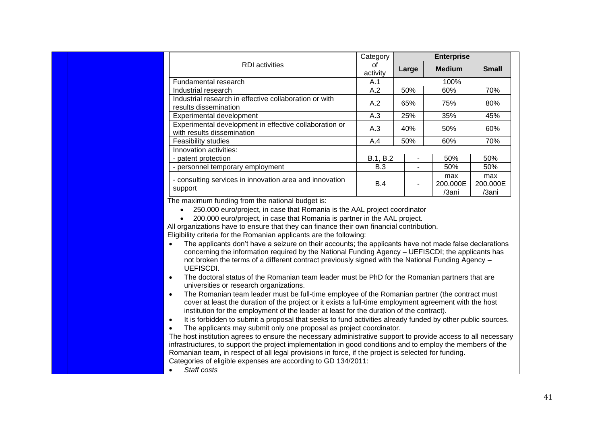|                                                                                                                                                                                                                                                                                                                                                                                                                                                                                                                                                                                                                                                                                                                                                                                                                                                                                                                                                                                                                                                                                                                                                                                                                                                                                                                                                                                                                                                                                                                                                                                                                          | Category       |                          | <b>Enterprise</b>        |                          |  |
|--------------------------------------------------------------------------------------------------------------------------------------------------------------------------------------------------------------------------------------------------------------------------------------------------------------------------------------------------------------------------------------------------------------------------------------------------------------------------------------------------------------------------------------------------------------------------------------------------------------------------------------------------------------------------------------------------------------------------------------------------------------------------------------------------------------------------------------------------------------------------------------------------------------------------------------------------------------------------------------------------------------------------------------------------------------------------------------------------------------------------------------------------------------------------------------------------------------------------------------------------------------------------------------------------------------------------------------------------------------------------------------------------------------------------------------------------------------------------------------------------------------------------------------------------------------------------------------------------------------------------|----------------|--------------------------|--------------------------|--------------------------|--|
| <b>RDI</b> activities                                                                                                                                                                                                                                                                                                                                                                                                                                                                                                                                                                                                                                                                                                                                                                                                                                                                                                                                                                                                                                                                                                                                                                                                                                                                                                                                                                                                                                                                                                                                                                                                    | 0f<br>activity | Large                    | <b>Medium</b>            | <b>Small</b>             |  |
| Fundamental research                                                                                                                                                                                                                                                                                                                                                                                                                                                                                                                                                                                                                                                                                                                                                                                                                                                                                                                                                                                                                                                                                                                                                                                                                                                                                                                                                                                                                                                                                                                                                                                                     | 100%<br>A.1    |                          |                          |                          |  |
| Industrial research                                                                                                                                                                                                                                                                                                                                                                                                                                                                                                                                                                                                                                                                                                                                                                                                                                                                                                                                                                                                                                                                                                                                                                                                                                                                                                                                                                                                                                                                                                                                                                                                      | A.2            | 50%                      | 60%                      | 70%                      |  |
| Industrial research in effective collaboration or with<br>results dissemination                                                                                                                                                                                                                                                                                                                                                                                                                                                                                                                                                                                                                                                                                                                                                                                                                                                                                                                                                                                                                                                                                                                                                                                                                                                                                                                                                                                                                                                                                                                                          | A.2            | 65%                      | 75%                      | 80%                      |  |
| Experimental development                                                                                                                                                                                                                                                                                                                                                                                                                                                                                                                                                                                                                                                                                                                                                                                                                                                                                                                                                                                                                                                                                                                                                                                                                                                                                                                                                                                                                                                                                                                                                                                                 | A.3            | 25%                      | 35%                      | 45%                      |  |
| Experimental development in effective collaboration or<br>with results dissemination                                                                                                                                                                                                                                                                                                                                                                                                                                                                                                                                                                                                                                                                                                                                                                                                                                                                                                                                                                                                                                                                                                                                                                                                                                                                                                                                                                                                                                                                                                                                     | A.3            | 40%                      | 50%                      | 60%                      |  |
| Feasibility studies                                                                                                                                                                                                                                                                                                                                                                                                                                                                                                                                                                                                                                                                                                                                                                                                                                                                                                                                                                                                                                                                                                                                                                                                                                                                                                                                                                                                                                                                                                                                                                                                      | A.4            | 50%                      | 60%                      | 70%                      |  |
| Innovation activities:                                                                                                                                                                                                                                                                                                                                                                                                                                                                                                                                                                                                                                                                                                                                                                                                                                                                                                                                                                                                                                                                                                                                                                                                                                                                                                                                                                                                                                                                                                                                                                                                   |                |                          |                          |                          |  |
| - patent protection                                                                                                                                                                                                                                                                                                                                                                                                                                                                                                                                                                                                                                                                                                                                                                                                                                                                                                                                                                                                                                                                                                                                                                                                                                                                                                                                                                                                                                                                                                                                                                                                      | B.1, B.2       | $\blacksquare$           | 50%                      | 50%                      |  |
| - personnel temporary employment                                                                                                                                                                                                                                                                                                                                                                                                                                                                                                                                                                                                                                                                                                                                                                                                                                                                                                                                                                                                                                                                                                                                                                                                                                                                                                                                                                                                                                                                                                                                                                                         | B.3            | $\sim$                   | 50%                      | 50%                      |  |
| - consulting services in innovation area and innovation<br>support                                                                                                                                                                                                                                                                                                                                                                                                                                                                                                                                                                                                                                                                                                                                                                                                                                                                                                                                                                                                                                                                                                                                                                                                                                                                                                                                                                                                                                                                                                                                                       | B.4            | $\overline{\phantom{0}}$ | max<br>200.000E<br>/3ani | max<br>200.000E<br>/3ani |  |
| 200.000 euro/project, in case that Romania is partner in the AAL project.<br>All organizations have to ensure that they can finance their own financial contribution.<br>Eligibility criteria for the Romanian applicants are the following:<br>The applicants don't have a seizure on their accounts; the applicants have not made false declarations<br>concerning the information required by the National Funding Agency - UEFISCDI; the applicants has<br>not broken the terms of a different contract previously signed with the National Funding Agency -<br><b>UEFISCDI.</b><br>The doctoral status of the Romanian team leader must be PhD for the Romanian partners that are<br>$\bullet$<br>universities or research organizations.<br>The Romanian team leader must be full-time employee of the Romanian partner (the contract must<br>$\bullet$<br>cover at least the duration of the project or it exists a full-time employment agreement with the host<br>institution for the employment of the leader at least for the duration of the contract).<br>It is forbidden to submit a proposal that seeks to fund activities already funded by other public sources.<br>$\bullet$<br>The applicants may submit only one proposal as project coordinator.<br>$\bullet$<br>The host institution agrees to ensure the necessary administrative support to provide access to all necessary<br>infrastructures, to support the project implementation in good conditions and to employ the members of the<br>Romanian team, in respect of all legal provisions in force, if the project is selected for funding. |                |                          |                          |                          |  |

• *Staff costs*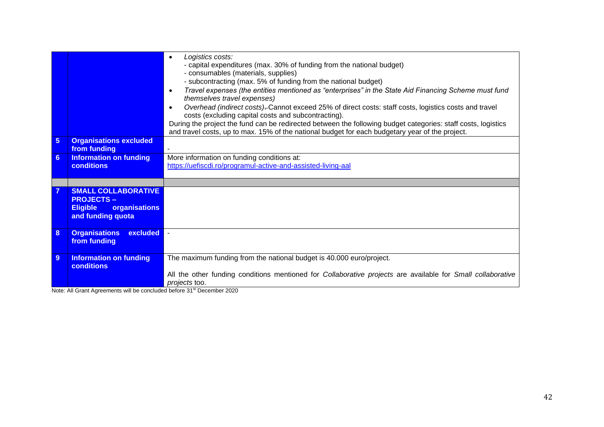|                |                                                                                                         | Logistics costs:<br>- capital expenditures (max. 30% of funding from the national budget)<br>- consumables (materials, supplies)<br>- subcontracting (max. 5% of funding from the national budget)<br>Travel expenses (the entities mentioned as "enterprises" in the State Aid Financing Scheme must fund<br>$\bullet$<br>themselves travel expenses)<br>Overhead (indirect costs)-Cannot exceed 25% of direct costs: staff costs, logistics costs and travel<br>$\bullet$<br>costs (excluding capital costs and subcontracting).<br>During the project the fund can be redirected between the following budget categories: staff costs, logistics<br>and travel costs, up to max. 15% of the national budget for each budgetary year of the project. |
|----------------|---------------------------------------------------------------------------------------------------------|--------------------------------------------------------------------------------------------------------------------------------------------------------------------------------------------------------------------------------------------------------------------------------------------------------------------------------------------------------------------------------------------------------------------------------------------------------------------------------------------------------------------------------------------------------------------------------------------------------------------------------------------------------------------------------------------------------------------------------------------------------|
| $\overline{5}$ | <b>Organisations excluded</b><br>from funding                                                           |                                                                                                                                                                                                                                                                                                                                                                                                                                                                                                                                                                                                                                                                                                                                                        |
| 6              | <b>Information on funding</b><br><b>conditions</b>                                                      | More information on funding conditions at:<br>https://uefiscdi.ro/programul-active-and-assisted-living-aal                                                                                                                                                                                                                                                                                                                                                                                                                                                                                                                                                                                                                                             |
|                |                                                                                                         |                                                                                                                                                                                                                                                                                                                                                                                                                                                                                                                                                                                                                                                                                                                                                        |
|                | <b>SMALL COLLABORATIVE</b><br><b>PROJECTS-</b><br>organisations<br><b>Eligible</b><br>and funding quota |                                                                                                                                                                                                                                                                                                                                                                                                                                                                                                                                                                                                                                                                                                                                                        |
| 8              | <b>Organisations</b><br>excluded<br>from funding                                                        |                                                                                                                                                                                                                                                                                                                                                                                                                                                                                                                                                                                                                                                                                                                                                        |
| 9              | <b>Information on funding</b><br><b>conditions</b>                                                      | The maximum funding from the national budget is 40.000 euro/project.<br>All the other funding conditions mentioned for Collaborative projects are available for Small collaborative<br><i>projects</i> too.                                                                                                                                                                                                                                                                                                                                                                                                                                                                                                                                            |

Note: All Grant Agreements will be concluded before 31<sup>st</sup> December 2020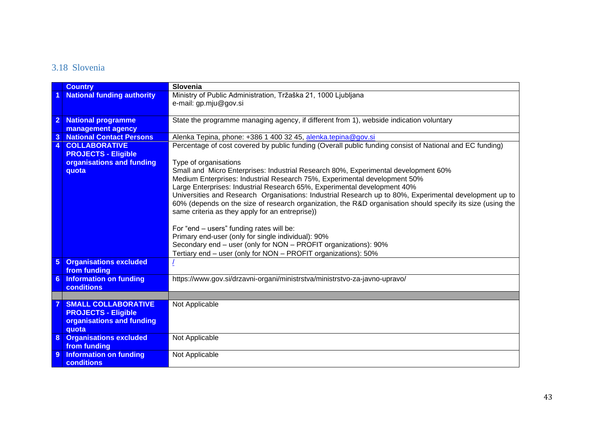### 3.18 Slovenia

<span id="page-42-0"></span>

|                 | <b>Country</b>                    | Slovenia                                                                                                              |
|-----------------|-----------------------------------|-----------------------------------------------------------------------------------------------------------------------|
|                 | <b>National funding authority</b> | Ministry of Public Administration, Tržaška 21, 1000 Ljubljana                                                         |
|                 |                                   | e-mail: gp.mju@gov.si                                                                                                 |
|                 |                                   |                                                                                                                       |
|                 | 2 National programme              | State the programme managing agency, if different from 1), webside indication voluntary                               |
|                 | management agency                 |                                                                                                                       |
| 3               | <b>National Contact Persons</b>   | Alenka Tepina, phone: +386 1 400 32 45, alenka.tepina@gov.si                                                          |
| $\overline{4}$  | <b>COLLABORATIVE</b>              | Percentage of cost covered by public funding (Overall public funding consist of National and EC funding)              |
|                 | <b>PROJECTS - Eligible</b>        |                                                                                                                       |
|                 | organisations and funding         | Type of organisations                                                                                                 |
|                 | quota                             | Small and Micro Enterprises: Industrial Research 80%, Experimental development 60%                                    |
|                 |                                   | Medium Enterprises: Industrial Research 75%, Experimental development 50%                                             |
|                 |                                   | Large Enterprises: Industrial Research 65%, Experimental development 40%                                              |
|                 |                                   | Universities and Research Organisations: Industrial Research up to 80%, Experimental development up to                |
|                 |                                   | 60% (depends on the size of research organization, the R&D organisation should specify its size (using the            |
|                 |                                   | same criteria as they apply for an entreprise))                                                                       |
|                 |                                   |                                                                                                                       |
|                 |                                   | For "end - users" funding rates will be:                                                                              |
|                 |                                   | Primary end-user (only for single individual): 90%<br>Secondary end - user (only for NON - PROFIT organizations): 90% |
|                 |                                   | Tertiary end - user (only for NON - PROFIT organizations): 50%                                                        |
| $5\phantom{.0}$ | <b>Organisations excluded</b>     |                                                                                                                       |
|                 | from funding                      |                                                                                                                       |
| 6 <sup>°</sup>  | Information on funding            | https://www.gov.si/drzavni-organi/ministrstva/ministrstvo-za-javno-upravo/                                            |
|                 | <b>conditions</b>                 |                                                                                                                       |
|                 |                                   |                                                                                                                       |
|                 | <b>SMALL COLLABORATIVE</b>        | Not Applicable                                                                                                        |
|                 | <b>PROJECTS - Eligible</b>        |                                                                                                                       |
|                 | organisations and funding         |                                                                                                                       |
|                 | quota                             |                                                                                                                       |
|                 | 8 Organisations excluded          | Not Applicable                                                                                                        |
|                 | from funding                      |                                                                                                                       |
| 9               | <b>Information on funding</b>     | Not Applicable                                                                                                        |
|                 | <b>conditions</b>                 |                                                                                                                       |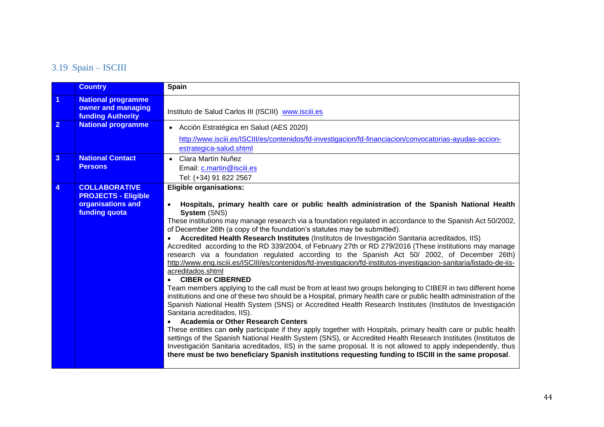### 3.19 Spain – ISCIII

<span id="page-43-0"></span>

|                | <b>Country</b>                                                                           | <b>Spain</b>                                                                                                                                                                                                                                                                                                                                                                                                                                                                                                                                                                                                                                                                                                                                                                                                                                                                                                                                                                                                                                                                                                                                                                                                                                                                                                                                                                                                                                                                                                                                                                                                                                                                                                                    |
|----------------|------------------------------------------------------------------------------------------|---------------------------------------------------------------------------------------------------------------------------------------------------------------------------------------------------------------------------------------------------------------------------------------------------------------------------------------------------------------------------------------------------------------------------------------------------------------------------------------------------------------------------------------------------------------------------------------------------------------------------------------------------------------------------------------------------------------------------------------------------------------------------------------------------------------------------------------------------------------------------------------------------------------------------------------------------------------------------------------------------------------------------------------------------------------------------------------------------------------------------------------------------------------------------------------------------------------------------------------------------------------------------------------------------------------------------------------------------------------------------------------------------------------------------------------------------------------------------------------------------------------------------------------------------------------------------------------------------------------------------------------------------------------------------------------------------------------------------------|
|                | <b>National programme</b><br>owner and managing<br><b>funding Authority</b>              | Instituto de Salud Carlos III (ISCIII) www.isciii.es                                                                                                                                                                                                                                                                                                                                                                                                                                                                                                                                                                                                                                                                                                                                                                                                                                                                                                                                                                                                                                                                                                                                                                                                                                                                                                                                                                                                                                                                                                                                                                                                                                                                            |
| $\overline{2}$ | <b>National programme</b>                                                                | • Acción Estratégica en Salud (AES 2020)<br>http://www.isciii.es/ISCIII/es/contenidos/fd-investigacion/fd-financiacion/convocatorias-ayudas-accion-<br>estrategica-salud.shtml                                                                                                                                                                                                                                                                                                                                                                                                                                                                                                                                                                                                                                                                                                                                                                                                                                                                                                                                                                                                                                                                                                                                                                                                                                                                                                                                                                                                                                                                                                                                                  |
| 3              | <b>National Contact</b><br><b>Persons</b>                                                | • Clara Martín Nuñez<br>Email: c.martin@isciii.es<br>Tel: (+34) 91 822 2567                                                                                                                                                                                                                                                                                                                                                                                                                                                                                                                                                                                                                                                                                                                                                                                                                                                                                                                                                                                                                                                                                                                                                                                                                                                                                                                                                                                                                                                                                                                                                                                                                                                     |
|                | <b>COLLABORATIVE</b><br><b>PROJECTS - Eligible</b><br>organisations and<br>funding quota | <b>Eligible organisations:</b><br>Hospitals, primary health care or public health administration of the Spanish National Health<br>System (SNS)<br>These institutions may manage research via a foundation regulated in accordance to the Spanish Act 50/2002,<br>of December 26th (a copy of the foundation's statutes may be submitted).<br>Accredited Health Research Institutes (Institutos de Investigación Sanitaria acreditados, IIS)<br>Accredited according to the RD 339/2004, of February 27th or RD 279/2016 (These institutions may manage<br>research via a foundation regulated according to the Spanish Act 50/ 2002, of December 26th)<br>http://www.eng.isciii.es/ISCIII/es/contenidos/fd-investigacion/fd-institutos-investigacion-sanitaria/listado-de-iis-<br>acreditados.shtml<br><b>CIBER or CIBERNED</b><br>Team members applying to the call must be from at least two groups belonging to CIBER in two different home<br>institutions and one of these two should be a Hospital, primary health care or public health administration of the<br>Spanish National Health System (SNS) or Accredited Health Research Institutes (Institutos de Investigación<br>Sanitaria acreditados, IIS).<br><b>Academia or Other Research Centers</b><br>These entities can only participate if they apply together with Hospitals, primary health care or public health<br>settings of the Spanish National Health System (SNS), or Accredited Health Research Institutes (Institutos de<br>Investigación Sanitaria acreditados, IIS) in the same proposal. It is not allowed to apply independently, thus<br>there must be two beneficiary Spanish institutions requesting funding to ISCIII in the same proposal. |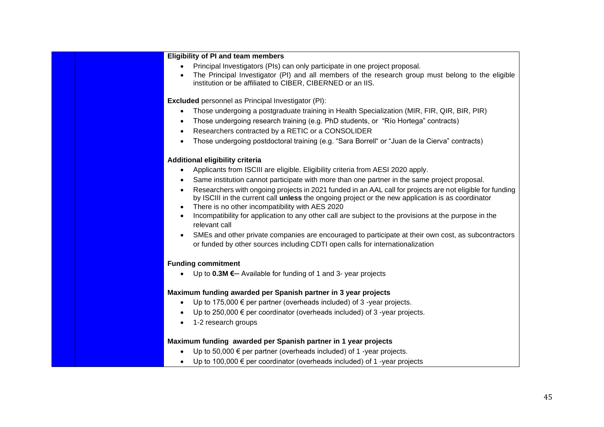|           | <b>Eligibility of PI and team members</b>                                                                 |
|-----------|-----------------------------------------------------------------------------------------------------------|
|           | Principal Investigators (PIs) can only participate in one project proposal.                               |
|           | The Principal Investigator (PI) and all members of the research group must belong to the eligible         |
|           | institution or be affiliated to CIBER, CIBERNED or an IIS.                                                |
|           | <b>Excluded</b> personnel as Principal Investigator (PI):                                                 |
| $\bullet$ | Those undergoing a postgraduate training in Health Specialization (MIR, FIR, QIR, BIR, PIR)               |
| $\bullet$ | Those undergoing research training (e.g. PhD students, or "Río Hortega" contracts)                        |
|           | Researchers contracted by a RETIC or a CONSOLIDER                                                         |
| $\bullet$ | Those undergoing postdoctoral training (e.g. "Sara Borrell" or "Juan de la Cierva" contracts)             |
|           | Additional eligibility criteria                                                                           |
|           | Applicants from ISCIII are eligible. Eligibility criteria from AESI 2020 apply.                           |
| ٠         | Same institution cannot participate with more than one partner in the same project proposal.              |
| $\bullet$ | Researchers with ongoing projects in 2021 funded in an AAL call for projects are not eligible for funding |
|           | by ISCIII in the current call unless the ongoing project or the new application is as coordinator         |
| $\bullet$ | There is no other incompatibility with AES 2020                                                           |
| $\bullet$ | Incompatibility for application to any other call are subject to the provisions at the purpose in the     |
|           | relevant call                                                                                             |
|           | SMEs and other private companies are encouraged to participate at their own cost, as subcontractors       |
|           | or funded by other sources including CDTI open calls for internationalization                             |
|           | <b>Funding commitment</b>                                                                                 |
|           | Up to $0.3M \in$ Available for funding of 1 and 3- year projects                                          |
|           | Maximum funding awarded per Spanish partner in 3 year projects                                            |
| $\bullet$ | Up to 175,000 $\epsilon$ per partner (overheads included) of 3 -year projects.                            |
|           | Up to 250,000 $\epsilon$ per coordinator (overheads included) of 3-year projects.                         |
| $\bullet$ | 1-2 research groups                                                                                       |
|           | Maximum funding awarded per Spanish partner in 1 year projects                                            |
|           | Up to 50,000 $\epsilon$ per partner (overheads included) of 1 -year projects.                             |
|           | Up to 100,000 $\epsilon$ per coordinator (overheads included) of 1 -year projects                         |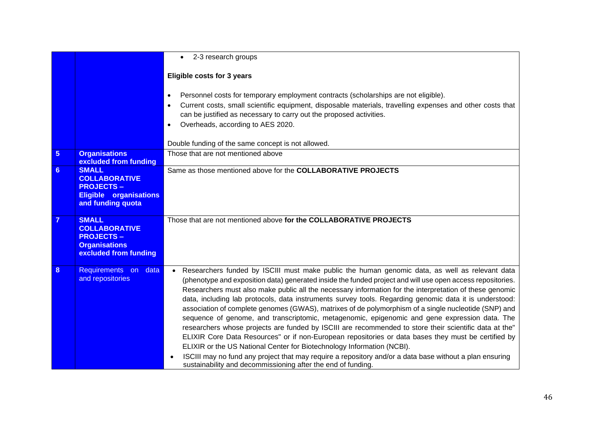|                  |                                                                                                                | 2-3 research groups<br>$\bullet$                                                                                                                                                                                                                                                                                                                                                                                                                                                                                                                                                                                                                                                                                                                                                                                                                                                                                                                                                                                                                                                                                              |
|------------------|----------------------------------------------------------------------------------------------------------------|-------------------------------------------------------------------------------------------------------------------------------------------------------------------------------------------------------------------------------------------------------------------------------------------------------------------------------------------------------------------------------------------------------------------------------------------------------------------------------------------------------------------------------------------------------------------------------------------------------------------------------------------------------------------------------------------------------------------------------------------------------------------------------------------------------------------------------------------------------------------------------------------------------------------------------------------------------------------------------------------------------------------------------------------------------------------------------------------------------------------------------|
|                  |                                                                                                                | Eligible costs for 3 years                                                                                                                                                                                                                                                                                                                                                                                                                                                                                                                                                                                                                                                                                                                                                                                                                                                                                                                                                                                                                                                                                                    |
|                  |                                                                                                                | Personnel costs for temporary employment contracts (scholarships are not eligible).<br>$\bullet$<br>Current costs, small scientific equipment, disposable materials, travelling expenses and other costs that<br>$\bullet$<br>can be justified as necessary to carry out the proposed activities.<br>Overheads, according to AES 2020.<br>$\bullet$                                                                                                                                                                                                                                                                                                                                                                                                                                                                                                                                                                                                                                                                                                                                                                           |
|                  |                                                                                                                | Double funding of the same concept is not allowed.                                                                                                                                                                                                                                                                                                                                                                                                                                                                                                                                                                                                                                                                                                                                                                                                                                                                                                                                                                                                                                                                            |
| 5 <sup>5</sup>   | <b>Organisations</b><br>excluded from funding                                                                  | Those that are not mentioned above                                                                                                                                                                                                                                                                                                                                                                                                                                                                                                                                                                                                                                                                                                                                                                                                                                                                                                                                                                                                                                                                                            |
| $6 \overline{6}$ | <b>SMALL</b><br><b>COLLABORATIVE</b><br><b>PROJECTS-</b><br><b>Eligible organisations</b><br>and funding quota | Same as those mentioned above for the COLLABORATIVE PROJECTS                                                                                                                                                                                                                                                                                                                                                                                                                                                                                                                                                                                                                                                                                                                                                                                                                                                                                                                                                                                                                                                                  |
| $\overline{7}$   | <b>SMALL</b><br><b>COLLABORATIVE</b><br><b>PROJECTS-</b><br><b>Organisations</b><br>excluded from funding      | Those that are not mentioned above for the COLLABORATIVE PROJECTS                                                                                                                                                                                                                                                                                                                                                                                                                                                                                                                                                                                                                                                                                                                                                                                                                                                                                                                                                                                                                                                             |
| 8                | Requirements on<br>data<br>and repositories                                                                    | Researchers funded by ISCIII must make public the human genomic data, as well as relevant data<br>$\bullet$<br>(phenotype and exposition data) generated inside the funded project and will use open access repositories.<br>Researchers must also make public all the necessary information for the interpretation of these genomic<br>data, including lab protocols, data instruments survey tools. Regarding genomic data it is understood:<br>association of complete genomes (GWAS), matrixes of de polymorphism of a single nucleotide (SNP) and<br>sequence of genome, and transcriptomic, metagenomic, epigenomic and gene expression data. The<br>researchers whose projects are funded by ISCIII are recommended to store their scientific data at the"<br>ELIXIR Core Data Resources" or if non-European repositories or data bases they must be certified by<br>ELIXIR or the US National Center for Biotechnology Information (NCBI).<br>ISCIII may no fund any project that may require a repository and/or a data base without a plan ensuring<br>sustainability and decommissioning after the end of funding. |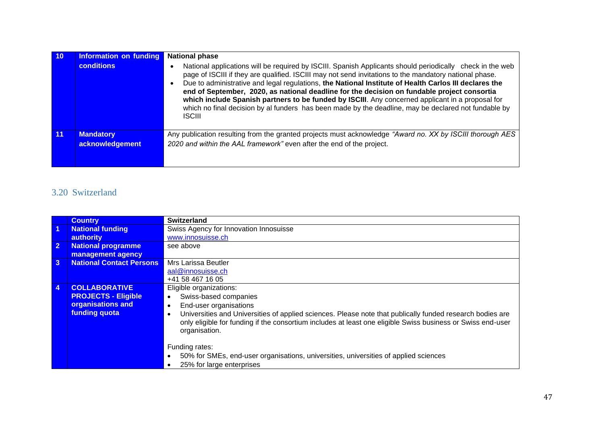| 10 | <b>Information on funding</b>       | <b>National phase</b>                                                                                                                                                                                                                                                                                                                                                                                                                                                                                                                                                                                                                                    |
|----|-------------------------------------|----------------------------------------------------------------------------------------------------------------------------------------------------------------------------------------------------------------------------------------------------------------------------------------------------------------------------------------------------------------------------------------------------------------------------------------------------------------------------------------------------------------------------------------------------------------------------------------------------------------------------------------------------------|
|    | <b>conditions</b>                   | National applications will be required by ISCIII. Spanish Applicants should periodically check in the web<br>page of ISCIII if they are qualified. ISCIII may not send invitations to the mandatory national phase.<br>Due to administrative and legal regulations, the National Institute of Health Carlos III declares the<br>end of September, 2020, as national deadline for the decision on fundable project consortia<br>which include Spanish partners to be funded by ISCIII. Any concerned applicant in a proposal for<br>which no final decision by al funders has been made by the deadline, may be declared not fundable by<br><b>ISCIII</b> |
|    | <b>Mandatory</b><br>acknowledgement | Any publication resulting from the granted projects must acknowledge "Award no. XX by ISCIII thorough AES<br>2020 and within the AAL framework" even after the end of the project.                                                                                                                                                                                                                                                                                                                                                                                                                                                                       |

### 3.20 Switzerland

<span id="page-46-0"></span>

|                         | <b>Country</b>                  | <b>Switzerland</b>                                                                                             |
|-------------------------|---------------------------------|----------------------------------------------------------------------------------------------------------------|
| $\overline{\mathbf{1}}$ | <b>National funding</b>         | Swiss Agency for Innovation Innosuisse                                                                         |
|                         | authority                       | www.innosuisse.ch                                                                                              |
| $\overline{2}$          | <b>National programme</b>       | see above                                                                                                      |
|                         | management agency               |                                                                                                                |
| $\mathbf{3}$            | <b>National Contact Persons</b> | Mrs Larissa Beutler                                                                                            |
|                         |                                 | aal@innosuisse.ch                                                                                              |
|                         |                                 | +41 58 467 16 05                                                                                               |
| $\overline{4}$          | <b>COLLABORATIVE</b>            | Eligible organizations:                                                                                        |
|                         | <b>PROJECTS - Eligible</b>      | Swiss-based companies                                                                                          |
|                         | organisations and               | End-user organisations                                                                                         |
|                         | funding quota                   | Universities and Universities of applied sciences. Please note that publically funded research bodies are<br>٠ |
|                         |                                 | only eligible for funding if the consortium includes at least one eligible Swiss business or Swiss end-user    |
|                         |                                 | organisation.                                                                                                  |
|                         |                                 |                                                                                                                |
|                         |                                 | Funding rates:                                                                                                 |
|                         |                                 | 50% for SMEs, end-user organisations, universities, universities of applied sciences                           |
|                         |                                 | 25% for large enterprises                                                                                      |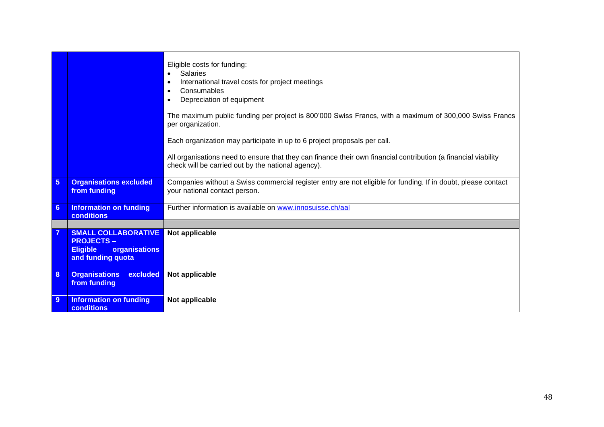|                |                                                       | Eligible costs for funding:<br><b>Salaries</b><br>International travel costs for project meetings<br>$\bullet$<br>Consumables<br>$\bullet$<br>Depreciation of equipment<br>$\bullet$ |
|----------------|-------------------------------------------------------|--------------------------------------------------------------------------------------------------------------------------------------------------------------------------------------|
|                |                                                       | The maximum public funding per project is 800'000 Swiss Francs, with a maximum of 300,000 Swiss Francs<br>per organization.                                                          |
|                |                                                       | Each organization may participate in up to 6 project proposals per call.                                                                                                             |
|                |                                                       | All organisations need to ensure that they can finance their own financial contribution (a financial viability<br>check will be carried out by the national agency).                 |
| $5\phantom{1}$ | <b>Organisations excluded</b><br>from funding         | Companies without a Swiss commercial register entry are not eligible for funding. If in doubt, please contact<br>your national contact person.                                       |
| $6\phantom{1}$ | <b>Information on funding</b><br>conditions           | Further information is available on www.innosuisse.ch/aal                                                                                                                            |
|                |                                                       |                                                                                                                                                                                      |
| $\overline{7}$ | <b>SMALL COLLABORATIVE</b><br><b>PROJECTS-</b>        | Not applicable                                                                                                                                                                       |
|                | organisations<br><b>Eligible</b><br>and funding quota |                                                                                                                                                                                      |
| 8              | <b>Organisations</b><br>excluded<br>from funding      | Not applicable                                                                                                                                                                       |
| 9              | <b>Information on funding</b><br>conditions           | Not applicable                                                                                                                                                                       |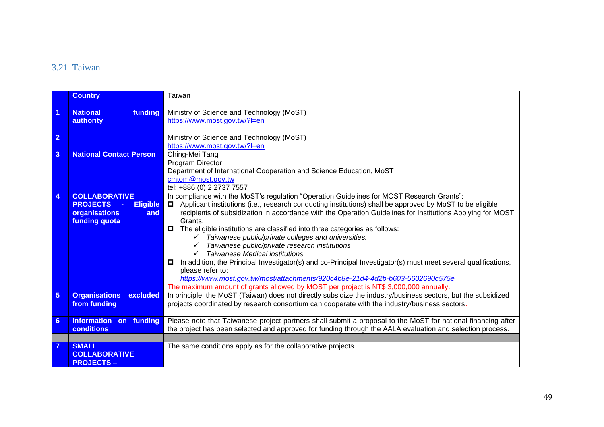### 3.21 Taiwan

<span id="page-48-0"></span>

|                 | <b>Country</b>                     | Taiwan                                                                                                                 |
|-----------------|------------------------------------|------------------------------------------------------------------------------------------------------------------------|
| 1               | funding<br><b>National</b>         | Ministry of Science and Technology (MoST)                                                                              |
|                 | authority                          | https://www.most.gov.tw/?l=en                                                                                          |
|                 |                                    |                                                                                                                        |
| $\overline{2}$  |                                    | Ministry of Science and Technology (MoST)                                                                              |
|                 |                                    | https://www.most.gov.tw/?l=en                                                                                          |
| $\overline{3}$  | <b>National Contact Person</b>     | Ching-Mei Tang                                                                                                         |
|                 |                                    | Program Director                                                                                                       |
|                 |                                    | Department of International Cooperation and Science Education, MoST                                                    |
|                 |                                    | cmtom@most.gov.tw                                                                                                      |
|                 | <b>COLLABORATIVE</b>               | tel: +886 (0) 2 2737 7557<br>In compliance with the MoST's regulation "Operation Guidelines for MOST Research Grants": |
| 4               | <b>PROJECTS</b><br><b>Eligible</b> | Applicant institutions (i.e., research conducting institutions) shall be approved by MoST to be eligible<br>0.         |
|                 | organisations<br>and               | recipients of subsidization in accordance with the Operation Guidelines for Institutions Applying for MOST             |
|                 | funding quota                      | Grants.                                                                                                                |
|                 |                                    | О<br>The eligible institutions are classified into three categories as follows:                                        |
|                 |                                    | $\checkmark$ Taiwanese public/private colleges and universities.                                                       |
|                 |                                    | Taiwanese public/private research institutions                                                                         |
|                 |                                    | <b>Taiwanese Medical institutions</b>                                                                                  |
|                 |                                    | In addition, the Principal Investigator(s) and co-Principal Investigator(s) must meet several qualifications,<br>0     |
|                 |                                    | please refer to:                                                                                                       |
|                 |                                    | https://www.most.gov.tw/most/attachments/920c4b8e-21d4-4d2b-b603-5602690c575e                                          |
|                 |                                    | The maximum amount of grants allowed by MOST per project is NT\$ 3,000,000 annually.                                   |
| 5               | <b>Organisations</b><br>excluded   | In principle, the MoST (Taiwan) does not directly subsidize the industry/business sectors, but the subsidized          |
|                 | from funding                       | projects coordinated by research consortium can cooperate with the industry/business sectors.                          |
|                 |                                    |                                                                                                                        |
| $6\phantom{1}6$ | <b>Information on funding</b>      | Please note that Taiwanese project partners shall submit a proposal to the MoST for national financing after           |
|                 | <b>conditions</b>                  | the project has been selected and approved for funding through the AALA evaluation and selection process.              |
|                 |                                    |                                                                                                                        |
|                 | <b>SMALL</b>                       | The same conditions apply as for the collaborative projects.                                                           |
|                 | <b>COLLABORATIVE</b>               |                                                                                                                        |
|                 | <b>PROJECTS -</b>                  |                                                                                                                        |